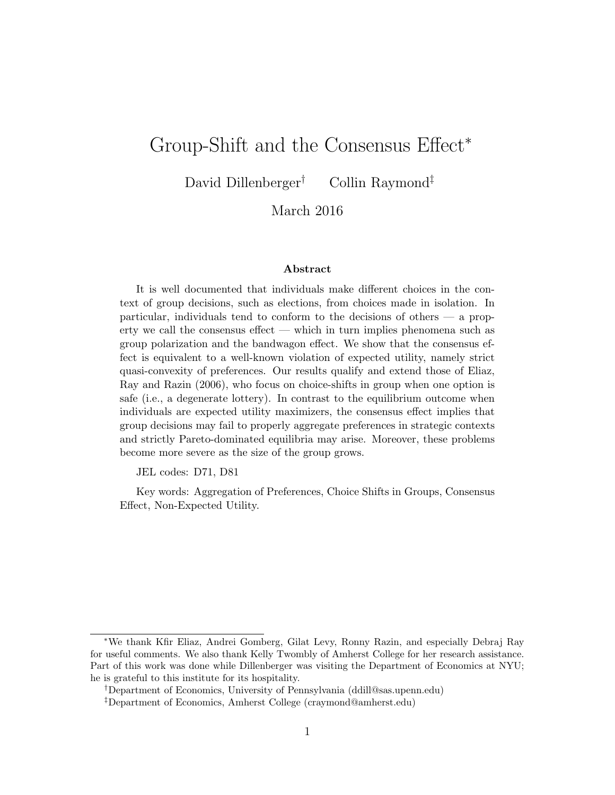# Group-Shift and the Consensus Effect<sup>∗</sup>

David Dillenberger<sup>†</sup> Collin Raymond<sup>‡</sup>

March 2016

#### Abstract

It is well documented that individuals make different choices in the context of group decisions, such as elections, from choices made in isolation. In particular, individuals tend to conform to the decisions of others — a property we call the consensus effect — which in turn implies phenomena such as group polarization and the bandwagon effect. We show that the consensus effect is equivalent to a well-known violation of expected utility, namely strict quasi-convexity of preferences. Our results qualify and extend those of Eliaz, Ray and Razin (2006), who focus on choice-shifts in group when one option is safe (i.e., a degenerate lottery). In contrast to the equilibrium outcome when individuals are expected utility maximizers, the consensus effect implies that group decisions may fail to properly aggregate preferences in strategic contexts and strictly Pareto-dominated equilibria may arise. Moreover, these problems become more severe as the size of the group grows.

JEL codes: D71, D81

Key words: Aggregation of Preferences, Choice Shifts in Groups, Consensus Effect, Non-Expected Utility.

<sup>∗</sup>We thank Kfir Eliaz, Andrei Gomberg, Gilat Levy, Ronny Razin, and especially Debraj Ray for useful comments. We also thank Kelly Twombly of Amherst College for her research assistance. Part of this work was done while Dillenberger was visiting the Department of Economics at NYU; he is grateful to this institute for its hospitality.

<sup>†</sup>Department of Economics, University of Pennsylvania (ddill@sas.upenn.edu)

<sup>‡</sup>Department of Economics, Amherst College (craymond@amherst.edu)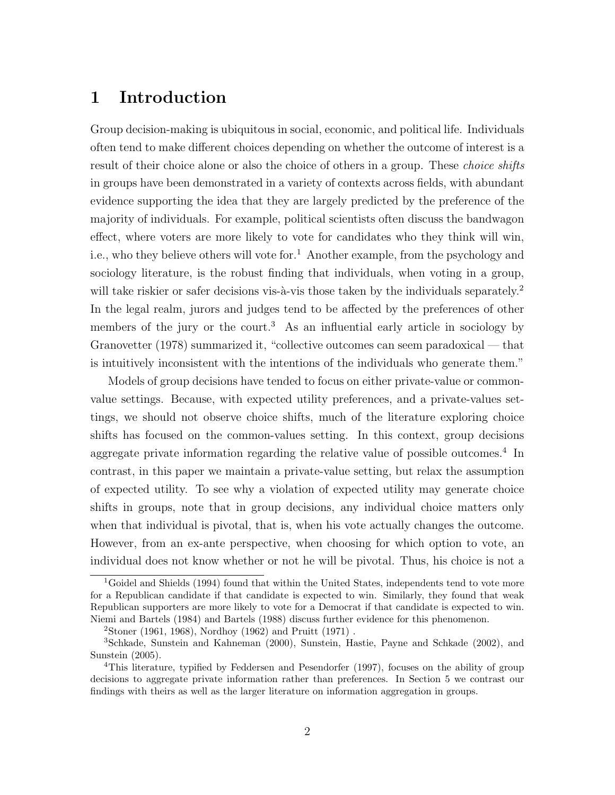## 1 Introduction

Group decision-making is ubiquitous in social, economic, and political life. Individuals often tend to make different choices depending on whether the outcome of interest is a result of their choice alone or also the choice of others in a group. These *choice shifts* in groups have been demonstrated in a variety of contexts across fields, with abundant evidence supporting the idea that they are largely predicted by the preference of the majority of individuals. For example, political scientists often discuss the bandwagon effect, where voters are more likely to vote for candidates who they think will win, i.e., who they believe others will vote for.<sup>1</sup> Another example, from the psychology and sociology literature, is the robust finding that individuals, when voting in a group, will take riskier or safer decisions vis- $\lambda$ -vis those taken by the individuals separately.<sup>2</sup> In the legal realm, jurors and judges tend to be affected by the preferences of other members of the jury or the court.<sup>3</sup> As an influential early article in sociology by Granovetter (1978) summarized it, "collective outcomes can seem paradoxical — that is intuitively inconsistent with the intentions of the individuals who generate them."

Models of group decisions have tended to focus on either private-value or commonvalue settings. Because, with expected utility preferences, and a private-values settings, we should not observe choice shifts, much of the literature exploring choice shifts has focused on the common-values setting. In this context, group decisions aggregate private information regarding the relative value of possible outcomes.<sup>4</sup> In contrast, in this paper we maintain a private-value setting, but relax the assumption of expected utility. To see why a violation of expected utility may generate choice shifts in groups, note that in group decisions, any individual choice matters only when that individual is pivotal, that is, when his vote actually changes the outcome. However, from an ex-ante perspective, when choosing for which option to vote, an individual does not know whether or not he will be pivotal. Thus, his choice is not a

<sup>&</sup>lt;sup>1</sup>Goidel and Shields (1994) found that within the United States, independents tend to vote more for a Republican candidate if that candidate is expected to win. Similarly, they found that weak Republican supporters are more likely to vote for a Democrat if that candidate is expected to win. Niemi and Bartels (1984) and Bartels (1988) discuss further evidence for this phenomenon.

 $2\text{Stone } (1961, 1968), \text{ Nordhoy } (1962) \text{ and Pruit } (1971).$ 

<sup>3</sup>Schkade, Sunstein and Kahneman (2000), Sunstein, Hastie, Payne and Schkade (2002), and Sunstein (2005).

<sup>4</sup>This literature, typified by Feddersen and Pesendorfer (1997), focuses on the ability of group decisions to aggregate private information rather than preferences. In Section 5 we contrast our findings with theirs as well as the larger literature on information aggregation in groups.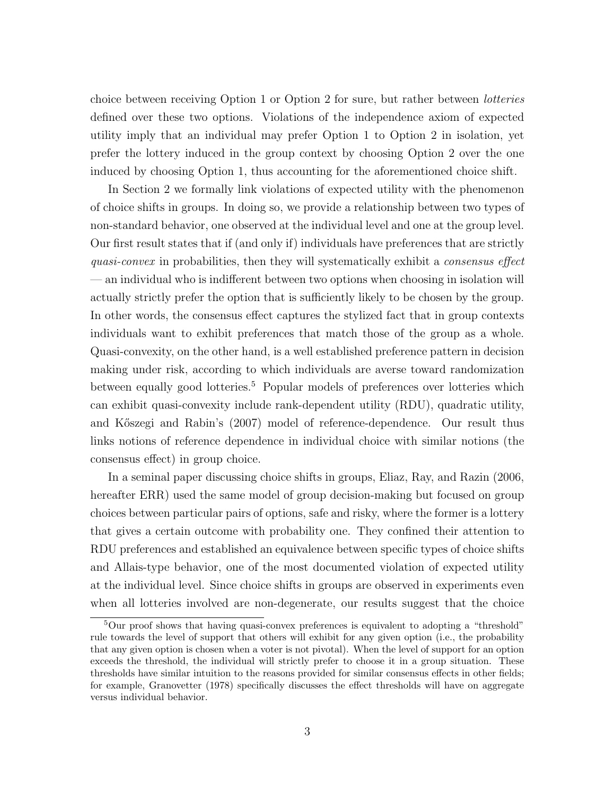choice between receiving Option 1 or Option 2 for sure, but rather between lotteries defined over these two options. Violations of the independence axiom of expected utility imply that an individual may prefer Option 1 to Option 2 in isolation, yet prefer the lottery induced in the group context by choosing Option 2 over the one induced by choosing Option 1, thus accounting for the aforementioned choice shift.

In Section 2 we formally link violations of expected utility with the phenomenon of choice shifts in groups. In doing so, we provide a relationship between two types of non-standard behavior, one observed at the individual level and one at the group level. Our first result states that if (and only if) individuals have preferences that are strictly quasi-convex in probabilities, then they will systematically exhibit a consensus effect — an individual who is indifferent between two options when choosing in isolation will actually strictly prefer the option that is sufficiently likely to be chosen by the group. In other words, the consensus effect captures the stylized fact that in group contexts individuals want to exhibit preferences that match those of the group as a whole. Quasi-convexity, on the other hand, is a well established preference pattern in decision making under risk, according to which individuals are averse toward randomization between equally good lotteries.<sup>5</sup> Popular models of preferences over lotteries which can exhibit quasi-convexity include rank-dependent utility (RDU), quadratic utility, and Kőszegi and Rabin's (2007) model of reference-dependence. Our result thus links notions of reference dependence in individual choice with similar notions (the consensus effect) in group choice.

In a seminal paper discussing choice shifts in groups, Eliaz, Ray, and Razin (2006, hereafter ERR) used the same model of group decision-making but focused on group choices between particular pairs of options, safe and risky, where the former is a lottery that gives a certain outcome with probability one. They confined their attention to RDU preferences and established an equivalence between specific types of choice shifts and Allais-type behavior, one of the most documented violation of expected utility at the individual level. Since choice shifts in groups are observed in experiments even when all lotteries involved are non-degenerate, our results suggest that the choice

<sup>&</sup>lt;sup>5</sup>Our proof shows that having quasi-convex preferences is equivalent to adopting a "threshold" rule towards the level of support that others will exhibit for any given option (i.e., the probability that any given option is chosen when a voter is not pivotal). When the level of support for an option exceeds the threshold, the individual will strictly prefer to choose it in a group situation. These thresholds have similar intuition to the reasons provided for similar consensus effects in other fields; for example, Granovetter (1978) specifically discusses the effect thresholds will have on aggregate versus individual behavior.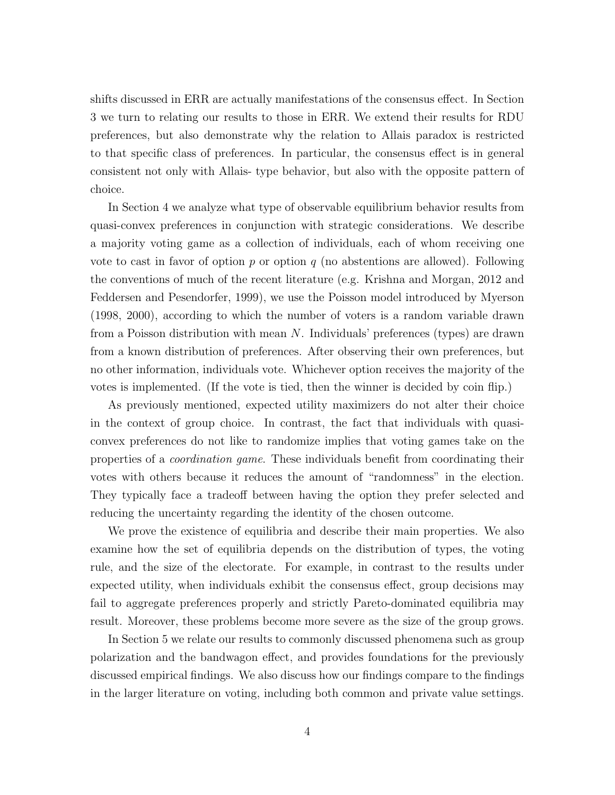shifts discussed in ERR are actually manifestations of the consensus effect. In Section 3 we turn to relating our results to those in ERR. We extend their results for RDU preferences, but also demonstrate why the relation to Allais paradox is restricted to that specific class of preferences. In particular, the consensus effect is in general consistent not only with Allais- type behavior, but also with the opposite pattern of choice.

In Section 4 we analyze what type of observable equilibrium behavior results from quasi-convex preferences in conjunction with strategic considerations. We describe a majority voting game as a collection of individuals, each of whom receiving one vote to cast in favor of option p or option q (no abstentions are allowed). Following the conventions of much of the recent literature (e.g. Krishna and Morgan, 2012 and Feddersen and Pesendorfer, 1999), we use the Poisson model introduced by Myerson (1998, 2000), according to which the number of voters is a random variable drawn from a Poisson distribution with mean  $N$ . Individuals' preferences (types) are drawn from a known distribution of preferences. After observing their own preferences, but no other information, individuals vote. Whichever option receives the majority of the votes is implemented. (If the vote is tied, then the winner is decided by coin flip.)

As previously mentioned, expected utility maximizers do not alter their choice in the context of group choice. In contrast, the fact that individuals with quasiconvex preferences do not like to randomize implies that voting games take on the properties of a coordination game. These individuals benefit from coordinating their votes with others because it reduces the amount of "randomness" in the election. They typically face a tradeoff between having the option they prefer selected and reducing the uncertainty regarding the identity of the chosen outcome.

We prove the existence of equilibria and describe their main properties. We also examine how the set of equilibria depends on the distribution of types, the voting rule, and the size of the electorate. For example, in contrast to the results under expected utility, when individuals exhibit the consensus effect, group decisions may fail to aggregate preferences properly and strictly Pareto-dominated equilibria may result. Moreover, these problems become more severe as the size of the group grows.

In Section 5 we relate our results to commonly discussed phenomena such as group polarization and the bandwagon effect, and provides foundations for the previously discussed empirical findings. We also discuss how our findings compare to the findings in the larger literature on voting, including both common and private value settings.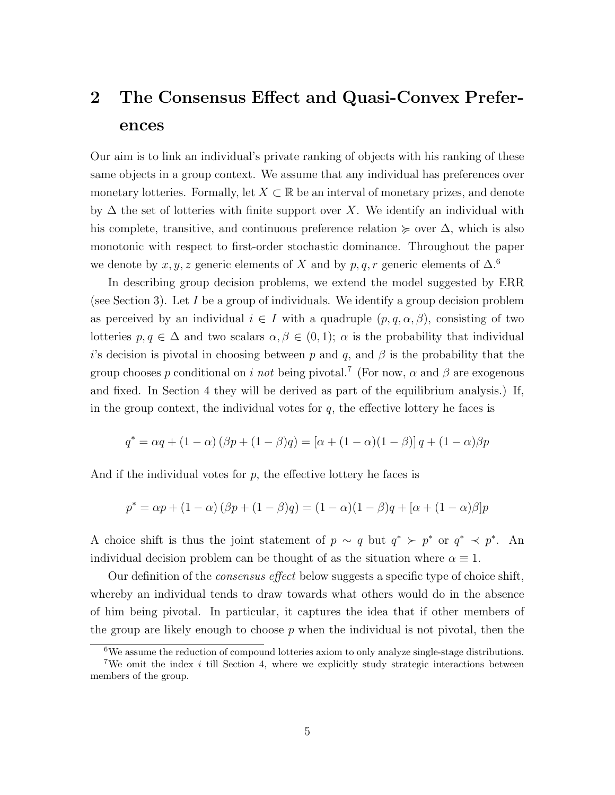# 2 The Consensus Effect and Quasi-Convex Preferences

Our aim is to link an individual's private ranking of objects with his ranking of these same objects in a group context. We assume that any individual has preferences over monetary lotteries. Formally, let  $X \subset \mathbb{R}$  be an interval of monetary prizes, and denote by  $\Delta$  the set of lotteries with finite support over X. We identify an individual with his complete, transitive, and continuous preference relation  $\succeq$  over  $\Delta$ , which is also monotonic with respect to first-order stochastic dominance. Throughout the paper we denote by x, y, z generic elements of X and by p, q, r generic elements of  $\Delta$ .<sup>6</sup>

In describing group decision problems, we extend the model suggested by ERR (see Section 3). Let  $I$  be a group of individuals. We identify a group decision problem as perceived by an individual  $i \in I$  with a quadruple  $(p, q, \alpha, \beta)$ , consisting of two lotteries  $p, q \in \Delta$  and two scalars  $\alpha, \beta \in (0,1)$ ;  $\alpha$  is the probability that individual is decision is pivotal in choosing between p and q, and  $\beta$  is the probability that the group chooses p conditional on i not being pivotal.<sup>7</sup> (For now,  $\alpha$  and  $\beta$  are exogenous and fixed. In Section 4 they will be derived as part of the equilibrium analysis.) If, in the group context, the individual votes for  $q$ , the effective lottery he faces is

$$
q^* = \alpha q + (1 - \alpha) (\beta p + (1 - \beta) q) = [\alpha + (1 - \alpha)(1 - \beta)] q + (1 - \alpha)\beta p
$$

And if the individual votes for  $p$ , the effective lottery he faces is

$$
p^* = \alpha p + (1 - \alpha) (\beta p + (1 - \beta)q) = (1 - \alpha)(1 - \beta)q + [\alpha + (1 - \alpha)\beta]p
$$

A choice shift is thus the joint statement of  $p \sim q$  but  $q^* \succ p^*$  or  $q^* \prec p^*$ . An individual decision problem can be thought of as the situation where  $\alpha \equiv 1$ .

Our definition of the consensus effect below suggests a specific type of choice shift, whereby an individual tends to draw towards what others would do in the absence of him being pivotal. In particular, it captures the idea that if other members of the group are likely enough to choose  $p$  when the individual is not pivotal, then the

 ${}^{6}$ We assume the reduction of compound lotteries axiom to only analyze single-stage distributions. <sup>7</sup>We omit the index  $i$  till Section 4, where we explicitly study strategic interactions between members of the group.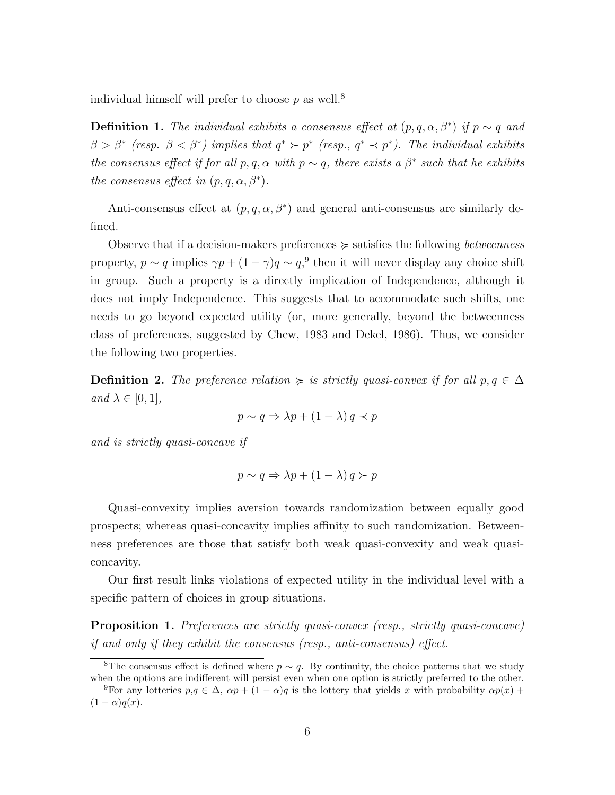individual himself will prefer to choose  $p$  as well.<sup>8</sup>

**Definition 1.** The individual exhibits a consensus effect at  $(p, q, \alpha, \beta^*)$  if  $p \sim q$  and  $\beta > \beta^*$  (resp.  $\beta < \beta^*$ ) implies that  $q^* \succ p^*$  (resp.,  $q^* \prec p^*$ ). The individual exhibits the consensus effect if for all  $p, q, \alpha$  with  $p \sim q$ , there exists a  $\beta^*$  such that he exhibits the consensus effect in  $(p, q, \alpha, \beta^*)$ .

Anti-consensus effect at  $(p, q, \alpha, \beta^*)$  and general anti-consensus are similarly defined.

Observe that if a decision-makers preferences  $\succeq$  satisfies the following *betweenness* property,  $p \sim q$  implies  $\gamma p + (1 - \gamma)q \sim q$ ,<sup>9</sup> then it will never display any choice shift in group. Such a property is a directly implication of Independence, although it does not imply Independence. This suggests that to accommodate such shifts, one needs to go beyond expected utility (or, more generally, beyond the betweenness class of preferences, suggested by Chew, 1983 and Dekel, 1986). Thus, we consider the following two properties.

**Definition 2.** The preference relation  $\succeq$  is strictly quasi-convex if for all  $p, q \in \Delta$ and  $\lambda \in [0,1],$ 

$$
p \sim q \Rightarrow \lambda p + (1 - \lambda) q \prec p
$$

and is strictly quasi-concave if

$$
p \sim q \Rightarrow \lambda p + (1 - \lambda) q \succ p
$$

Quasi-convexity implies aversion towards randomization between equally good prospects; whereas quasi-concavity implies affinity to such randomization. Betweenness preferences are those that satisfy both weak quasi-convexity and weak quasiconcavity.

Our first result links violations of expected utility in the individual level with a specific pattern of choices in group situations.

**Proposition 1.** Preferences are strictly quasi-convex (resp., strictly quasi-concave) if and only if they exhibit the consensus (resp., anti-consensus) effect.

<sup>&</sup>lt;sup>8</sup>The consensus effect is defined where  $p \sim q$ . By continuity, the choice patterns that we study when the options are indifferent will persist even when one option is strictly preferred to the other.

<sup>&</sup>lt;sup>9</sup>For any lotteries  $p,q \in \Delta$ ,  $\alpha p + (1-\alpha)q$  is the lottery that yields x with probability  $\alpha p(x)$  +  $(1 - \alpha)q(x)$ .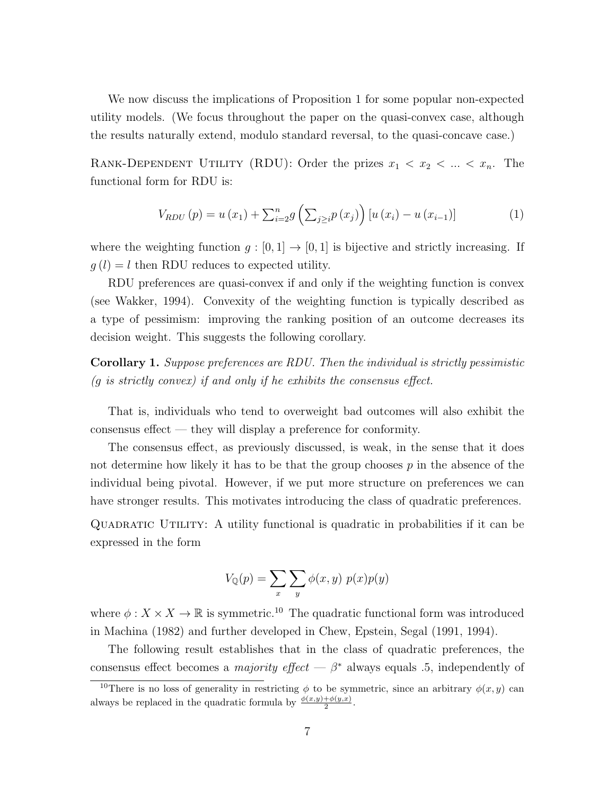We now discuss the implications of Proposition 1 for some popular non-expected utility models. (We focus throughout the paper on the quasi-convex case, although the results naturally extend, modulo standard reversal, to the quasi-concave case.)

RANK-DEPENDENT UTILITY (RDU): Order the prizes  $x_1 < x_2 < ... < x_n$ . The functional form for RDU is:

$$
V_{RDU}(p) = u(x_1) + \sum_{i=2}^{n} g\left(\sum_{j\geq i} p(x_j)\right) [u(x_i) - u(x_{i-1})]
$$
 (1)

where the weighting function  $g : [0,1] \to [0,1]$  is bijective and strictly increasing. If  $g(l) = l$  then RDU reduces to expected utility.

RDU preferences are quasi-convex if and only if the weighting function is convex (see Wakker, 1994). Convexity of the weighting function is typically described as a type of pessimism: improving the ranking position of an outcome decreases its decision weight. This suggests the following corollary.

Corollary 1. Suppose preferences are RDU. Then the individual is strictly pessimistic  $(g \text{ is strictly convex})$  if and only if he exhibits the consensus effect.

That is, individuals who tend to overweight bad outcomes will also exhibit the consensus effect — they will display a preference for conformity.

The consensus effect, as previously discussed, is weak, in the sense that it does not determine how likely it has to be that the group chooses  $p$  in the absence of the individual being pivotal. However, if we put more structure on preferences we can have stronger results. This motivates introducing the class of quadratic preferences.

Quadratic Utility: A utility functional is quadratic in probabilities if it can be expressed in the form

$$
V_{\mathbb{Q}}(p) = \sum_{x} \sum_{y} \phi(x, y) p(x) p(y)
$$

where  $\phi: X \times X \to \mathbb{R}$  is symmetric.<sup>10</sup> The quadratic functional form was introduced in Machina (1982) and further developed in Chew, Epstein, Segal (1991, 1994).

The following result establishes that in the class of quadratic preferences, the consensus effect becomes a *majority effect* —  $\beta^*$  always equals .5, independently of

<sup>&</sup>lt;sup>10</sup>There is no loss of generality in restricting  $\phi$  to be symmetric, since an arbitrary  $\phi(x, y)$  can always be replaced in the quadratic formula by  $\frac{\phi(x,y)+\phi(y,x)}{2}$ .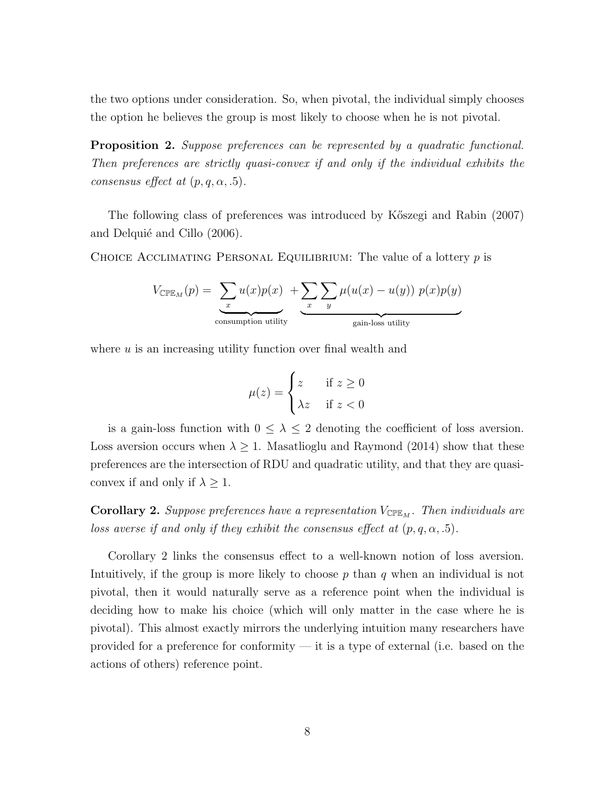the two options under consideration. So, when pivotal, the individual simply chooses the option he believes the group is most likely to choose when he is not pivotal.

**Proposition 2.** Suppose preferences can be represented by a quadratic functional. Then preferences are strictly quasi-convex if and only if the individual exhibits the consensus effect at  $(p, q, \alpha, .5)$ .

The following class of preferences was introduced by K˝oszegi and Rabin (2007) and Delquié and Cillo (2006).

CHOICE ACCLIMATING PERSONAL EQUILIBRIUM: The value of a lottery  $p$  is

$$
V_{\text{CPE}_M}(p) = \underbrace{\sum_x u(x)p(x)}_{\text{consumption utility}} + \underbrace{\sum_x \sum_y \mu(u(x) - u(y)) p(x)p(y)}_{\text{gain-loss utility}}
$$

where  $u$  is an increasing utility function over final wealth and

$$
\mu(z) = \begin{cases} z & \text{if } z \ge 0 \\ \lambda z & \text{if } z < 0 \end{cases}
$$

is a gain-loss function with  $0 \leq \lambda \leq 2$  denoting the coefficient of loss aversion. Loss aversion occurs when  $\lambda \geq 1$ . Masatlioglu and Raymond (2014) show that these preferences are the intersection of RDU and quadratic utility, and that they are quasiconvex if and only if  $\lambda \geq 1$ .

**Corollary 2.** Suppose preferences have a representation  $V_{\text{CPE}_M}$ . Then individuals are loss averse if and only if they exhibit the consensus effect at  $(p, q, \alpha, .5)$ .

Corollary 2 links the consensus effect to a well-known notion of loss aversion. Intuitively, if the group is more likely to choose  $p$  than  $q$  when an individual is not pivotal, then it would naturally serve as a reference point when the individual is deciding how to make his choice (which will only matter in the case where he is pivotal). This almost exactly mirrors the underlying intuition many researchers have provided for a preference for conformity — it is a type of external (i.e. based on the actions of others) reference point.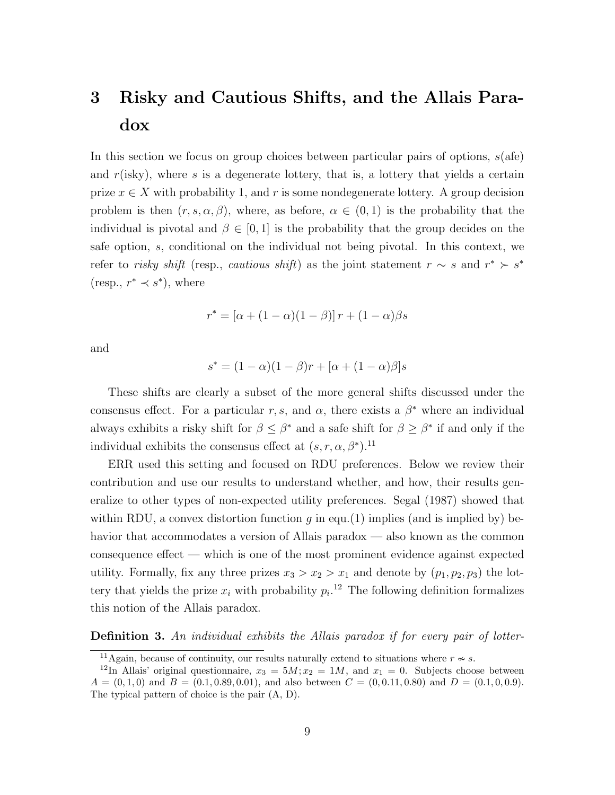# 3 Risky and Cautious Shifts, and the Allais Paradox

In this section we focus on group choices between particular pairs of options,  $s$  (afe) and  $r$ (isky), where s is a degenerate lottery, that is, a lottery that yields a certain prize  $x \in X$  with probability 1, and r is some nondegenerate lottery. A group decision problem is then  $(r, s, \alpha, \beta)$ , where, as before,  $\alpha \in (0, 1)$  is the probability that the individual is pivotal and  $\beta \in [0, 1]$  is the probability that the group decides on the safe option, s, conditional on the individual not being pivotal. In this context, we refer to risky shift (resp., cautious shift) as the joint statement  $r \sim s$  and  $r^* \succ s^*$  $(resp., r^* \prec s^*)$ , where

$$
r^* = [\alpha + (1 - \alpha)(1 - \beta)]r + (1 - \alpha)\beta s
$$

and

$$
s^* = (1 - \alpha)(1 - \beta)r + [\alpha + (1 - \alpha)\beta]s
$$

These shifts are clearly a subset of the more general shifts discussed under the consensus effect. For a particular r, s, and  $\alpha$ , there exists a  $\beta^*$  where an individual always exhibits a risky shift for  $\beta \leq \beta^*$  and a safe shift for  $\beta \geq \beta^*$  if and only if the individual exhibits the consensus effect at  $(s, r, \alpha, \beta^*)$ .<sup>11</sup>

ERR used this setting and focused on RDU preferences. Below we review their contribution and use our results to understand whether, and how, their results generalize to other types of non-expected utility preferences. Segal (1987) showed that within RDU, a convex distortion function  $g$  in equ.(1) implies (and is implied by) behavior that accommodates a version of Allais paradox — also known as the common consequence effect — which is one of the most prominent evidence against expected utility. Formally, fix any three prizes  $x_3 > x_2 > x_1$  and denote by  $(p_1, p_2, p_3)$  the lottery that yields the prize  $x_i$  with probability  $p_i$ <sup>12</sup> The following definition formalizes this notion of the Allais paradox.

### **Definition 3.** An individual exhibits the Allais paradox if for every pair of lotter-

<sup>&</sup>lt;sup>11</sup>Again, because of continuity, our results naturally extend to situations where  $r \nsim s$ .

<sup>&</sup>lt;sup>12</sup>In Allais' original questionnaire,  $x_3 = 5M; x_2 = 1M$ , and  $x_1 = 0$ . Subjects choose between  $A = (0, 1, 0)$  and  $B = (0.1, 0.89, 0.01)$ , and also between  $C = (0, 0.11, 0.80)$  and  $D = (0.1, 0, 0.9)$ . The typical pattern of choice is the pair (A, D).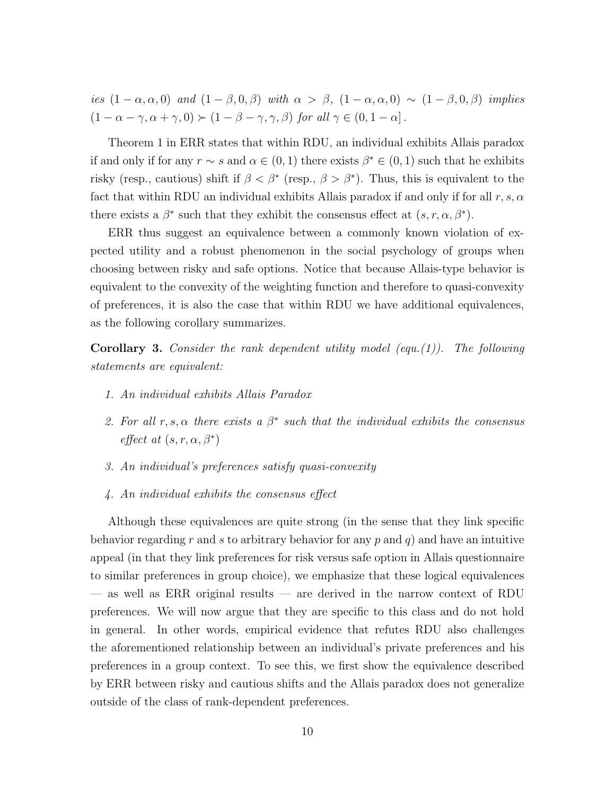ies  $(1 - \alpha, \alpha, 0)$  and  $(1 - \beta, 0, \beta)$  with  $\alpha > \beta$ ,  $(1 - \alpha, \alpha, 0) \sim (1 - \beta, 0, \beta)$  implies  $(1 - \alpha - \gamma, \alpha + \gamma, 0) \succ (1 - \beta - \gamma, \gamma, \beta)$  for all  $\gamma \in (0, 1 - \alpha]$ .

Theorem 1 in ERR states that within RDU, an individual exhibits Allais paradox if and only if for any  $r \sim s$  and  $\alpha \in (0, 1)$  there exists  $\beta^* \in (0, 1)$  such that he exhibits risky (resp., cautious) shift if  $\beta < \beta^*$  (resp.,  $\beta > \beta^*$ ). Thus, this is equivalent to the fact that within RDU an individual exhibits Allais paradox if and only if for all  $r, s, \alpha$ there exists a  $\beta^*$  such that they exhibit the consensus effect at  $(s, r, \alpha, \beta^*)$ .

ERR thus suggest an equivalence between a commonly known violation of expected utility and a robust phenomenon in the social psychology of groups when choosing between risky and safe options. Notice that because Allais-type behavior is equivalent to the convexity of the weighting function and therefore to quasi-convexity of preferences, it is also the case that within RDU we have additional equivalences, as the following corollary summarizes.

**Corollary 3.** Consider the rank dependent utility model (equ.(1)). The following statements are equivalent:

- 1. An individual exhibits Allais Paradox
- 2. For all  $r, s, \alpha$  there exists a  $\beta^*$  such that the individual exhibits the consensus effect at  $(s, r, \alpha, \beta^*)$
- 3. An individual's preferences satisfy quasi-convexity
- 4. An individual exhibits the consensus effect

Although these equivalences are quite strong (in the sense that they link specific behavior regarding r and s to arbitrary behavior for any p and q) and have an intuitive appeal (in that they link preferences for risk versus safe option in Allais questionnaire to similar preferences in group choice), we emphasize that these logical equivalences — as well as ERR original results — are derived in the narrow context of RDU preferences. We will now argue that they are specific to this class and do not hold in general. In other words, empirical evidence that refutes RDU also challenges the aforementioned relationship between an individual's private preferences and his preferences in a group context. To see this, we first show the equivalence described by ERR between risky and cautious shifts and the Allais paradox does not generalize outside of the class of rank-dependent preferences.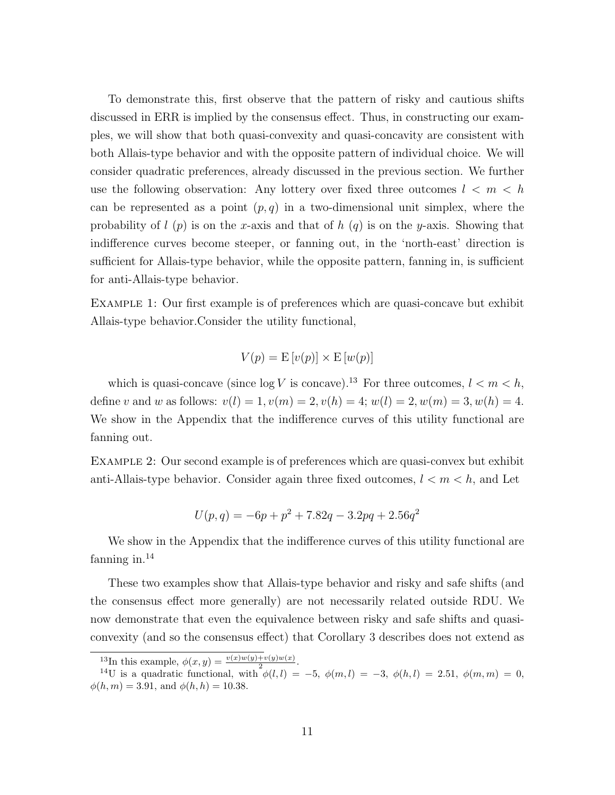To demonstrate this, first observe that the pattern of risky and cautious shifts discussed in ERR is implied by the consensus effect. Thus, in constructing our examples, we will show that both quasi-convexity and quasi-concavity are consistent with both Allais-type behavior and with the opposite pattern of individual choice. We will consider quadratic preferences, already discussed in the previous section. We further use the following observation: Any lottery over fixed three outcomes  $l < m < h$ can be represented as a point  $(p, q)$  in a two-dimensional unit simplex, where the probability of  $l(p)$  is on the x-axis and that of  $h(q)$  is on the y-axis. Showing that indifference curves become steeper, or fanning out, in the 'north-east' direction is sufficient for Allais-type behavior, while the opposite pattern, fanning in, is sufficient for anti-Allais-type behavior.

Example 1: Our first example is of preferences which are quasi-concave but exhibit Allais-type behavior.Consider the utility functional,

$$
V(p) = \mathcal{E}[v(p)] \times \mathcal{E}[w(p)]
$$

which is quasi-concave (since  $\log V$  is concave).<sup>13</sup> For three outcomes,  $l < m < h$ , define v and w as follows:  $v(l) = 1, v(m) = 2, v(h) = 4; w(l) = 2, w(m) = 3, w(h) = 4.$ We show in the Appendix that the indifference curves of this utility functional are fanning out.

Example 2: Our second example is of preferences which are quasi-convex but exhibit anti-Allais-type behavior. Consider again three fixed outcomes,  $l < m < h$ , and Let

$$
U(p,q) = -6p + p^2 + 7.82q - 3.2pq + 2.56q^2
$$

We show in the Appendix that the indifference curves of this utility functional are fanning in. $14$ 

These two examples show that Allais-type behavior and risky and safe shifts (and the consensus effect more generally) are not necessarily related outside RDU. We now demonstrate that even the equivalence between risky and safe shifts and quasiconvexity (and so the consensus effect) that Corollary 3 describes does not extend as

<sup>&</sup>lt;sup>13</sup>In this example,  $\phi(x,y) = \frac{v(x)w(y)+v(y)w(x)}{2}$ .

<sup>&</sup>lt;sup>14</sup>U is a quadratic functional, with  $\phi(l, l) = -5$ ,  $\phi(m, l) = -3$ ,  $\phi(h, l) = 2.51$ ,  $\phi(m, m) = 0$ ,  $\phi(h, m) = 3.91$ , and  $\phi(h, h) = 10.38$ .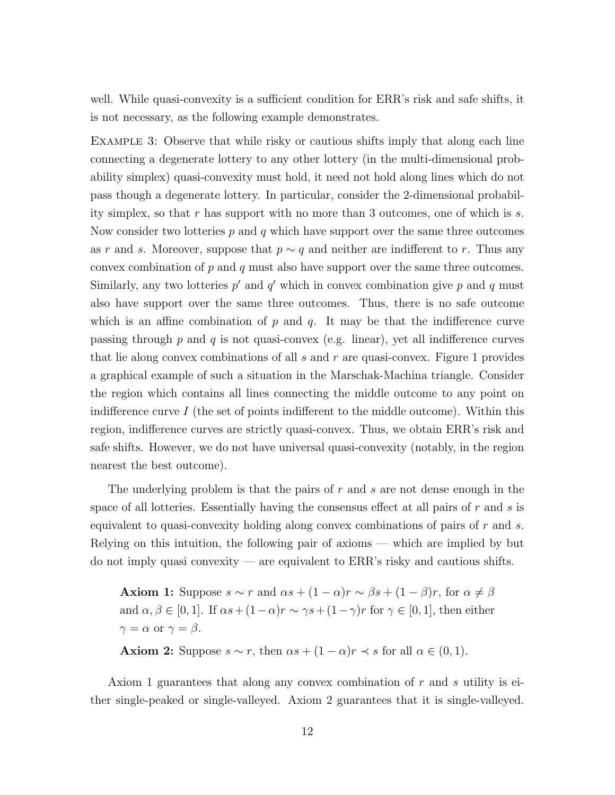well. While quasi-convexity is a sufficient condition for ERR's risk and safe shifts, it is not necessary, as the following example demonstrates.

Example 3: Observe that while risky or cautious shifts imply that along each line connecting a degenerate lottery to any other lottery (in the multi-dimensional probability simplex) quasi-convexity must hold, it need not hold along lines which do not pass though a degenerate lottery. In particular, consider the 2-dimensional probability simplex, so that r has support with no more than 3 outcomes, one of which is s. Now consider two lotteries  $p$  and  $q$  which have support over the same three outcomes as r and s. Moreover, suppose that  $p \sim q$  and neither are indifferent to r. Thus any convex combination of  $p$  and  $q$  must also have support over the same three outcomes. Similarly, any two lotteries  $p'$  and  $q'$  which in convex combination give p and q must also have support over the same three outcomes. Thus, there is no safe outcome which is an affine combination of  $p$  and  $q$ . It may be that the indifference curve passing through p and q is not quasi-convex (e.g. linear), yet all indifference curves that lie along convex combinations of all  $s$  and  $r$  are quasi-convex. Figure 1 provides a graphical example of such a situation in the Marschak-Machina triangle. Consider the region which contains all lines connecting the middle outcome to any point on indifference curve I (the set of points indifferent to the middle outcome). Within this region, indifference curves are strictly quasi-convex. Thus, we obtain ERR's risk and safe shifts. However, we do not have universal quasi-convexity (notably, in the region nearest the best outcome).

The underlying problem is that the pairs of r and s are not dense enough in the space of all lotteries. Essentially having the consensus effect at all pairs of  $r$  and  $s$  is equivalent to quasi-convexity holding along convex combinations of pairs of  $r$  and  $s$ . Relying on this intuition, the following pair of axioms — which are implied by but do not imply quasi convexity — are equivalent to ERR's risky and cautious shifts.

**Axiom 1:** Suppose  $s \sim r$  and  $\alpha s + (1 - \alpha)r \sim \beta s + (1 - \beta)r$ , for  $\alpha \neq \beta$ and  $\alpha, \beta \in [0, 1]$ . If  $\alpha s + (1 - \alpha)r \sim \gamma s + (1 - \gamma)r$  for  $\gamma \in [0, 1]$ , then either  $\gamma = \alpha$  or  $\gamma = \beta$ .

**Axiom 2:** Suppose  $s \sim r$ , then  $\alpha s + (1 - \alpha)r \prec s$  for all  $\alpha \in (0, 1)$ .

Axiom 1 guarantees that along any convex combination of r and s utility is either single-peaked or single-valleyed. Axiom 2 guarantees that it is single-valleyed.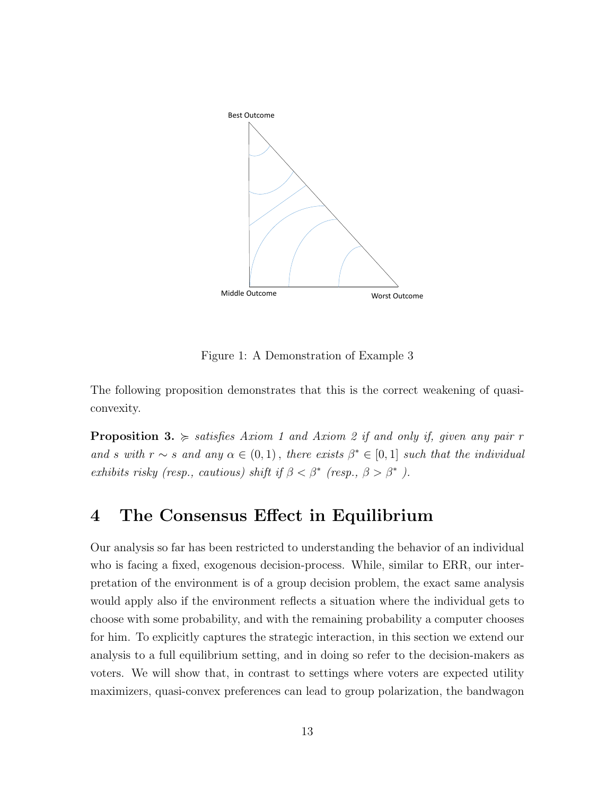

Figure 1: A Demonstration of Example 3

The following proposition demonstrates that this is the correct weakening of quasiconvexity.

**Proposition 3.**  $\succcurlyeq$  satisfies Axiom 1 and Axiom 2 if and only if, given any pair r and s with  $r \sim s$  and any  $\alpha \in (0,1)$ , there exists  $\beta^* \in [0,1]$  such that the individual exhibits risky (resp., cautious) shift if  $\beta < \beta^*$  (resp.,  $\beta > \beta^*$ ).

### 4 The Consensus Effect in Equilibrium

Our analysis so far has been restricted to understanding the behavior of an individual who is facing a fixed, exogenous decision-process. While, similar to ERR, our interpretation of the environment is of a group decision problem, the exact same analysis would apply also if the environment reflects a situation where the individual gets to choose with some probability, and with the remaining probability a computer chooses for him. To explicitly captures the strategic interaction, in this section we extend our analysis to a full equilibrium setting, and in doing so refer to the decision-makers as voters. We will show that, in contrast to settings where voters are expected utility maximizers, quasi-convex preferences can lead to group polarization, the bandwagon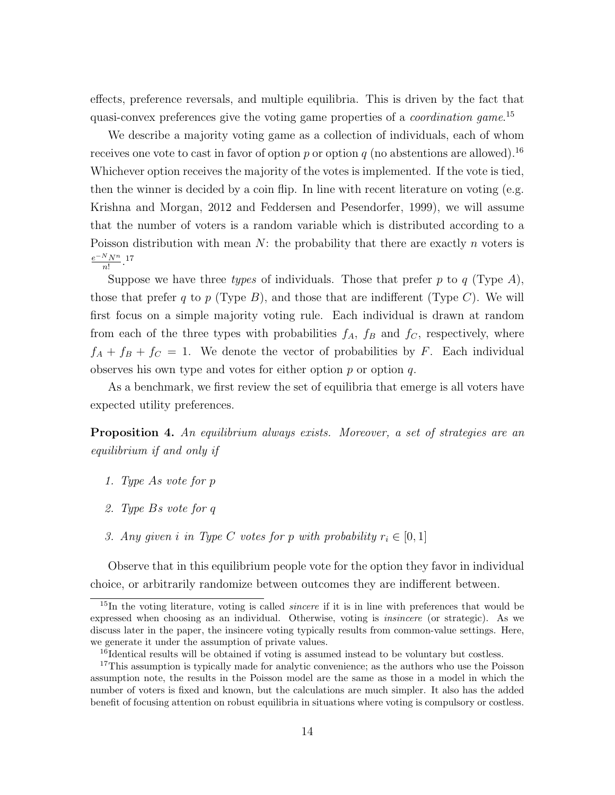effects, preference reversals, and multiple equilibria. This is driven by the fact that quasi-convex preferences give the voting game properties of a *coordination game*.<sup>15</sup>

We describe a majority voting game as a collection of individuals, each of whom receives one vote to cast in favor of option p or option q (no abstentions are allowed).<sup>16</sup> Whichever option receives the majority of the votes is implemented. If the vote is tied, then the winner is decided by a coin flip. In line with recent literature on voting (e.g. Krishna and Morgan, 2012 and Feddersen and Pesendorfer, 1999), we will assume that the number of voters is a random variable which is distributed according to a Poisson distribution with mean  $N$ : the probability that there are exactly n voters is  $e^{-N}N^n$  $\frac{1}{n!}$ .<sup>17</sup>

Suppose we have three types of individuals. Those that prefer p to  $q$  (Type A), those that prefer q to p (Type  $B$ ), and those that are indifferent (Type  $C$ ). We will first focus on a simple majority voting rule. Each individual is drawn at random from each of the three types with probabilities  $f_A$ ,  $f_B$  and  $f_C$ , respectively, where  $f_A + f_B + f_C = 1$ . We denote the vector of probabilities by F. Each individual observes his own type and votes for either option  $p$  or option  $q$ .

As a benchmark, we first review the set of equilibria that emerge is all voters have expected utility preferences.

**Proposition 4.** An equilibrium always exists. Moreover, a set of strategies are an equilibrium if and only if

- 1. Type As vote for p
- 2. Type Bs vote for q
- 3. Any given i in Type C votes for p with probability  $r_i \in [0,1]$

Observe that in this equilibrium people vote for the option they favor in individual choice, or arbitrarily randomize between outcomes they are indifferent between.

<sup>&</sup>lt;sup>15</sup>In the voting literature, voting is called *sincere* if it is in line with preferences that would be expressed when choosing as an individual. Otherwise, voting is insincere (or strategic). As we discuss later in the paper, the insincere voting typically results from common-value settings. Here, we generate it under the assumption of private values.

<sup>&</sup>lt;sup>16</sup>Identical results will be obtained if voting is assumed instead to be voluntary but costless.

<sup>&</sup>lt;sup>17</sup>This assumption is typically made for analytic convenience; as the authors who use the Poisson assumption note, the results in the Poisson model are the same as those in a model in which the number of voters is fixed and known, but the calculations are much simpler. It also has the added benefit of focusing attention on robust equilibria in situations where voting is compulsory or costless.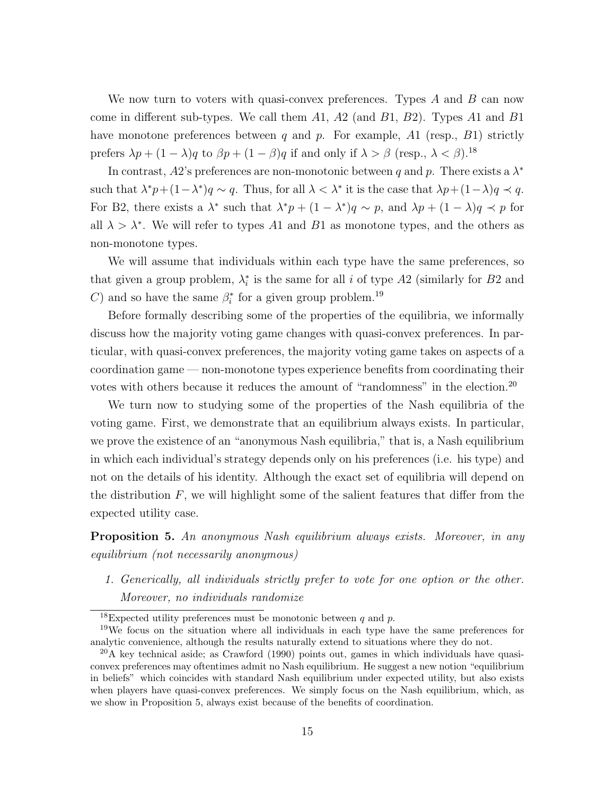We now turn to voters with quasi-convex preferences. Types  $A$  and  $B$  can now come in different sub-types. We call them  $A1$ ,  $A2$  (and  $B1$ ,  $B2$ ). Types  $A1$  and  $B1$ have monotone preferences between q and p. For example,  $A1$  (resp.,  $B1$ ) strictly prefers  $\lambda p + (1 - \lambda)q$  to  $\beta p + (1 - \beta)q$  if and only if  $\lambda > \beta$  (resp.,  $\lambda < \beta$ ).<sup>18</sup>

In contrast, A2's preferences are non-monotonic between q and p. There exists a  $\lambda^*$ such that  $\lambda^* p + (1 - \lambda^*) q \sim q$ . Thus, for all  $\lambda < \lambda^*$  it is the case that  $\lambda p + (1 - \lambda) q \prec q$ . For B2, there exists a  $\lambda^*$  such that  $\lambda^* p + (1 - \lambda^*) q \sim p$ , and  $\lambda p + (1 - \lambda) q \prec p$  for all  $\lambda > \lambda^*$ . We will refer to types A1 and B1 as monotone types, and the others as non-monotone types.

We will assume that individuals within each type have the same preferences, so that given a group problem,  $\lambda_i^*$  is the same for all i of type A2 (similarly for B2 and C) and so have the same  $\beta_i^*$  for a given group problem.<sup>19</sup>

Before formally describing some of the properties of the equilibria, we informally discuss how the majority voting game changes with quasi-convex preferences. In particular, with quasi-convex preferences, the majority voting game takes on aspects of a coordination game — non-monotone types experience benefits from coordinating their votes with others because it reduces the amount of "randomness" in the election.<sup>20</sup>

We turn now to studying some of the properties of the Nash equilibria of the voting game. First, we demonstrate that an equilibrium always exists. In particular, we prove the existence of an "anonymous Nash equilibria," that is, a Nash equilibrium in which each individual's strategy depends only on his preferences (i.e. his type) and not on the details of his identity. Although the exact set of equilibria will depend on the distribution  $F$ , we will highlight some of the salient features that differ from the expected utility case.

**Proposition 5.** An anonymous Nash equilibrium always exists. Moreover, in any equilibrium (not necessarily anonymous)

1. Generically, all individuals strictly prefer to vote for one option or the other. Moreover, no individuals randomize

<sup>&</sup>lt;sup>18</sup>Expected utility preferences must be monotonic between  $q$  and  $p$ .

<sup>&</sup>lt;sup>19</sup>We focus on the situation where all individuals in each type have the same preferences for analytic convenience, although the results naturally extend to situations where they do not.

 $^{20}$ A key technical aside; as Crawford (1990) points out, games in which individuals have quasiconvex preferences may oftentimes admit no Nash equilibrium. He suggest a new notion "equilibrium in beliefs" which coincides with standard Nash equilibrium under expected utility, but also exists when players have quasi-convex preferences. We simply focus on the Nash equilibrium, which, as we show in Proposition 5, always exist because of the benefits of coordination.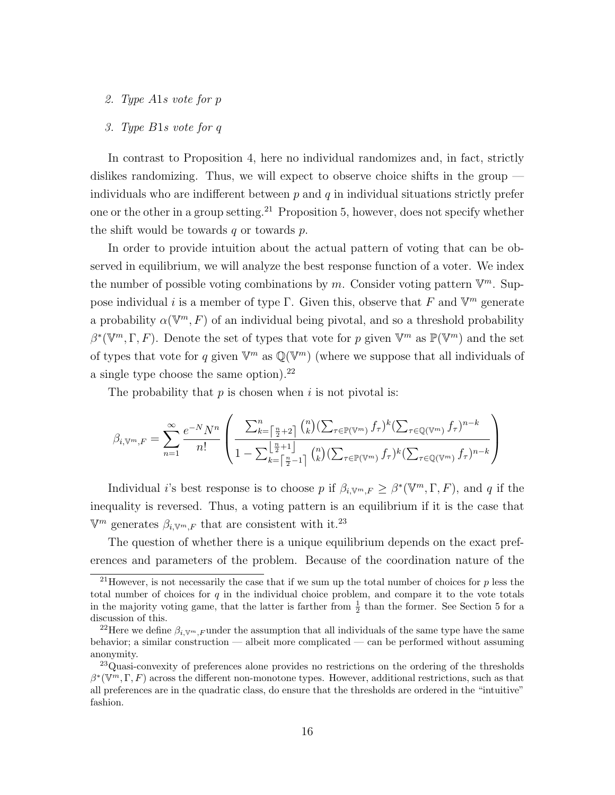2. Type A1s vote for p

#### 3. Type B1s vote for q

In contrast to Proposition 4, here no individual randomizes and, in fact, strictly dislikes randomizing. Thus, we will expect to observe choice shifts in the group individuals who are indifferent between  $p$  and  $q$  in individual situations strictly prefer one or the other in a group setting.<sup>21</sup> Proposition 5, however, does not specify whether the shift would be towards  $q$  or towards  $p$ .

In order to provide intuition about the actual pattern of voting that can be observed in equilibrium, we will analyze the best response function of a voter. We index the number of possible voting combinations by m. Consider voting pattern  $\mathbb{V}^m$ . Suppose individual *i* is a member of type  $\Gamma$ . Given this, observe that F and  $\mathbb{V}^m$  generate a probability  $\alpha(\mathbb{V}^m, F)$  of an individual being pivotal, and so a threshold probability  $\beta^*(\mathbb{V}^m,\Gamma,F)$ . Denote the set of types that vote for p given  $\mathbb{V}^m$  as  $\mathbb{P}(\mathbb{V}^m)$  and the set of types that vote for q given  $\mathbb{V}^m$  as  $\mathbb{Q}(\mathbb{V}^m)$  (where we suppose that all individuals of a single type choose the same option).<sup>22</sup>

The probability that  $p$  is chosen when  $i$  is not pivotal is:

$$
\beta_{i,\mathbb{V}^m,F} = \sum_{n=1}^{\infty} \frac{e^{-N}N^n}{n!} \left( \frac{\sum_{k=\lceil \frac{n}{2}+2 \rceil}^n \binom{n}{k} (\sum_{\tau \in \mathbb{P}(\mathbb{V}^m)} f_{\tau})^k (\sum_{\tau \in \mathbb{Q}(\mathbb{V}^m)} f_{\tau})^{n-k}}{1 - \sum_{k=\lceil \frac{n}{2}+1 \rceil}^n \binom{n}{k} (\sum_{\tau \in \mathbb{P}(\mathbb{V}^m)} f_{\tau})^k (\sum_{\tau \in \mathbb{Q}(\mathbb{V}^m)} f_{\tau})^{n-k}} \right)
$$

Individual *i*'s best response is to choose p if  $\beta_{i, \mathbb{V}^m, F} \geq \beta^*(\mathbb{V}^m, \Gamma, F)$ , and q if the inequality is reversed. Thus, a voting pattern is an equilibrium if it is the case that  $\mathbb{V}^m$  generates  $\beta_{i, \mathbb{V}^m, F}$  that are consistent with it.<sup>23</sup>

The question of whether there is a unique equilibrium depends on the exact preferences and parameters of the problem. Because of the coordination nature of the

<sup>&</sup>lt;sup>21</sup>However, is not necessarily the case that if we sum up the total number of choices for  $p$  less the total number of choices for  $q$  in the individual choice problem, and compare it to the vote totals in the majority voting game, that the latter is farther from  $\frac{1}{2}$  than the former. See Section 5 for a discussion of this.

<sup>&</sup>lt;sup>22</sup>Here we define  $\beta_{i, V^m, F}$  under the assumption that all individuals of the same type have the same behavior; a similar construction — albeit more complicated — can be performed without assuming anonymity.

<sup>&</sup>lt;sup>23</sup>Quasi-convexity of preferences alone provides no restrictions on the ordering of the thresholds  $\beta^*(V^m, \Gamma, F)$  across the different non-monotone types. However, additional restrictions, such as that all preferences are in the quadratic class, do ensure that the thresholds are ordered in the "intuitive" fashion.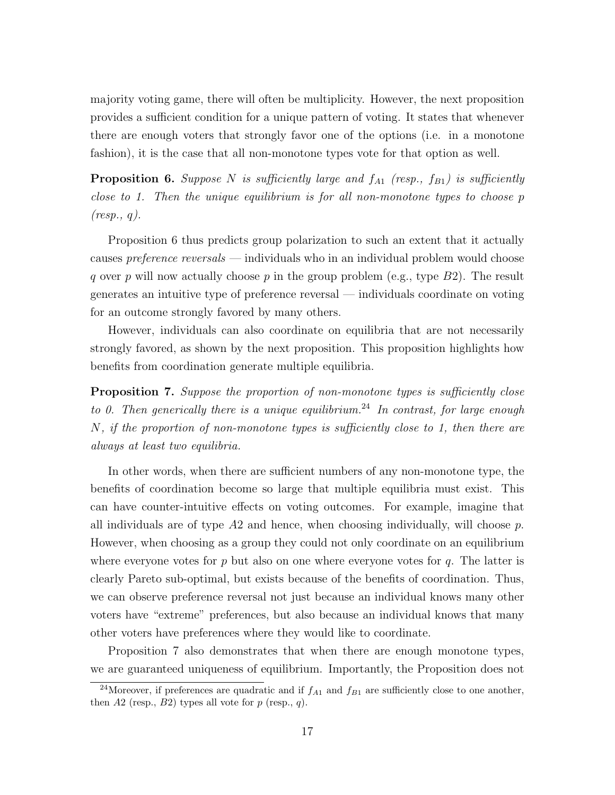majority voting game, there will often be multiplicity. However, the next proposition provides a sufficient condition for a unique pattern of voting. It states that whenever there are enough voters that strongly favor one of the options (i.e. in a monotone fashion), it is the case that all non-monotone types vote for that option as well.

**Proposition 6.** Suppose N is sufficiently large and  $f_{A1}$  (resp.,  $f_{B1}$ ) is sufficiently close to 1. Then the unique equilibrium is for all non-monotone types to choose p  $(resp., q).$ 

Proposition 6 thus predicts group polarization to such an extent that it actually causes *preference reversals* — individuals who in an individual problem would choose q over p will now actually choose p in the group problem (e.g., type  $B2$ ). The result generates an intuitive type of preference reversal — individuals coordinate on voting for an outcome strongly favored by many others.

However, individuals can also coordinate on equilibria that are not necessarily strongly favored, as shown by the next proposition. This proposition highlights how benefits from coordination generate multiple equilibria.

**Proposition 7.** Suppose the proportion of non-monotone types is sufficiently close to 0. Then generically there is a unique equilibrium.<sup>24</sup> In contrast, for large enough N, if the proportion of non-monotone types is sufficiently close to 1, then there are always at least two equilibria.

In other words, when there are sufficient numbers of any non-monotone type, the benefits of coordination become so large that multiple equilibria must exist. This can have counter-intuitive effects on voting outcomes. For example, imagine that all individuals are of type  $A2$  and hence, when choosing individually, will choose p. However, when choosing as a group they could not only coordinate on an equilibrium where everyone votes for p but also on one where everyone votes for q. The latter is clearly Pareto sub-optimal, but exists because of the benefits of coordination. Thus, we can observe preference reversal not just because an individual knows many other voters have "extreme" preferences, but also because an individual knows that many other voters have preferences where they would like to coordinate.

Proposition 7 also demonstrates that when there are enough monotone types, we are guaranteed uniqueness of equilibrium. Importantly, the Proposition does not

<sup>&</sup>lt;sup>24</sup>Moreover, if preferences are quadratic and if  $f_{A1}$  and  $f_{B1}$  are sufficiently close to one another, then  $A2$  (resp.,  $B2$ ) types all vote for  $p$  (resp.,  $q$ ).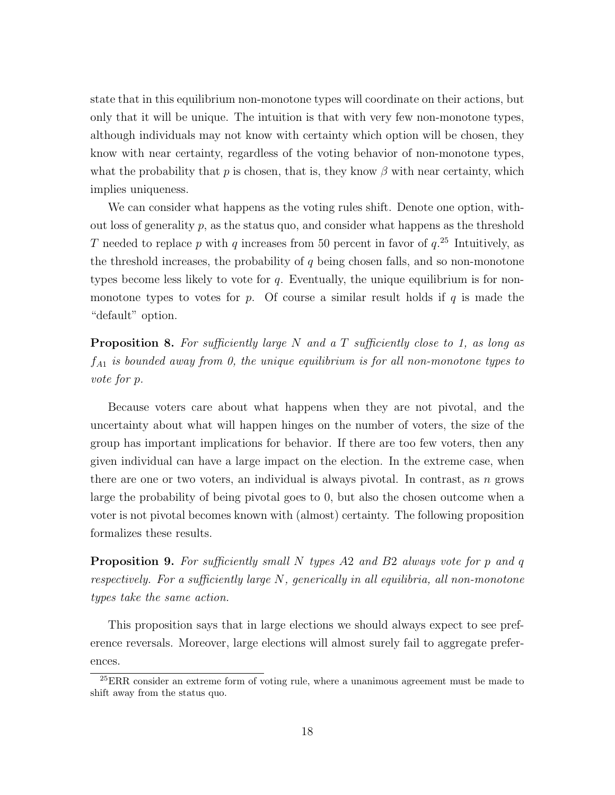state that in this equilibrium non-monotone types will coordinate on their actions, but only that it will be unique. The intuition is that with very few non-monotone types, although individuals may not know with certainty which option will be chosen, they know with near certainty, regardless of the voting behavior of non-monotone types, what the probability that p is chosen, that is, they know  $\beta$  with near certainty, which implies uniqueness.

We can consider what happens as the voting rules shift. Denote one option, without loss of generality  $p$ , as the status quo, and consider what happens as the threshold T needed to replace p with q increases from 50 percent in favor of  $q.^{25}$  Intuitively, as the threshold increases, the probability of  $q$  being chosen falls, and so non-monotone types become less likely to vote for  $q$ . Eventually, the unique equilibrium is for nonmonotone types to votes for p. Of course a similar result holds if q is made the "default" option.

**Proposition 8.** For sufficiently large N and a T sufficiently close to 1, as long as  $f_{A1}$  is bounded away from 0, the unique equilibrium is for all non-monotone types to vote for p.

Because voters care about what happens when they are not pivotal, and the uncertainty about what will happen hinges on the number of voters, the size of the group has important implications for behavior. If there are too few voters, then any given individual can have a large impact on the election. In the extreme case, when there are one or two voters, an individual is always pivotal. In contrast, as  $n$  grows large the probability of being pivotal goes to 0, but also the chosen outcome when a voter is not pivotal becomes known with (almost) certainty. The following proposition formalizes these results.

**Proposition 9.** For sufficiently small N types A2 and B2 always vote for p and q respectively. For a sufficiently large  $N$ , generically in all equilibria, all non-monotone types take the same action.

This proposition says that in large elections we should always expect to see preference reversals. Moreover, large elections will almost surely fail to aggregate preferences.

<sup>&</sup>lt;sup>25</sup>ERR consider an extreme form of voting rule, where a unanimous agreement must be made to shift away from the status quo.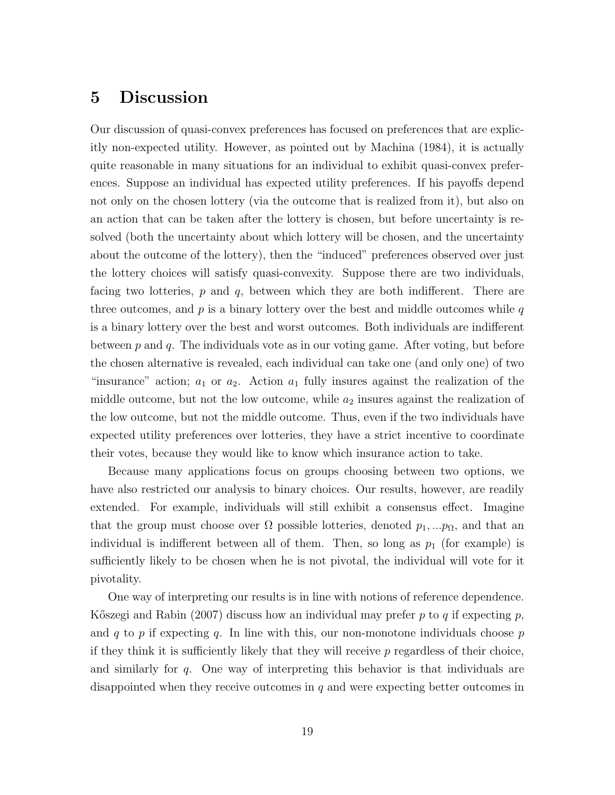## 5 Discussion

Our discussion of quasi-convex preferences has focused on preferences that are explicitly non-expected utility. However, as pointed out by Machina (1984), it is actually quite reasonable in many situations for an individual to exhibit quasi-convex preferences. Suppose an individual has expected utility preferences. If his payoffs depend not only on the chosen lottery (via the outcome that is realized from it), but also on an action that can be taken after the lottery is chosen, but before uncertainty is resolved (both the uncertainty about which lottery will be chosen, and the uncertainty about the outcome of the lottery), then the "induced" preferences observed over just the lottery choices will satisfy quasi-convexity. Suppose there are two individuals, facing two lotteries,  $p$  and  $q$ , between which they are both indifferent. There are three outcomes, and  $p$  is a binary lottery over the best and middle outcomes while  $q$ is a binary lottery over the best and worst outcomes. Both individuals are indifferent between  $p$  and  $q$ . The individuals vote as in our voting game. After voting, but before the chosen alternative is revealed, each individual can take one (and only one) of two "insurance" action;  $a_1$  or  $a_2$ . Action  $a_1$  fully insures against the realization of the middle outcome, but not the low outcome, while  $a_2$  insures against the realization of the low outcome, but not the middle outcome. Thus, even if the two individuals have expected utility preferences over lotteries, they have a strict incentive to coordinate their votes, because they would like to know which insurance action to take.

Because many applications focus on groups choosing between two options, we have also restricted our analysis to binary choices. Our results, however, are readily extended. For example, individuals will still exhibit a consensus effect. Imagine that the group must choose over  $\Omega$  possible lotteries, denoted  $p_1, \ldots, p_\Omega$ , and that an individual is indifferent between all of them. Then, so long as  $p_1$  (for example) is sufficiently likely to be chosen when he is not pivotal, the individual will vote for it pivotality.

One way of interpreting our results is in line with notions of reference dependence. Kőszegi and Rabin (2007) discuss how an individual may prefer p to q if expecting  $p$ , and q to p if expecting q. In line with this, our non-monotone individuals choose p if they think it is sufficiently likely that they will receive  $p$  regardless of their choice, and similarly for q. One way of interpreting this behavior is that individuals are disappointed when they receive outcomes in  $q$  and were expecting better outcomes in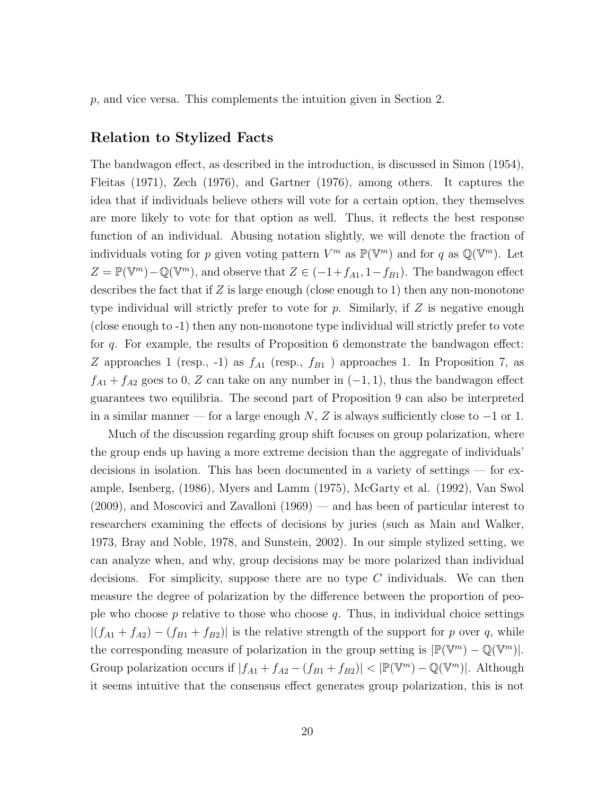$p$ , and vice versa. This complements the intuition given in Section 2.

### Relation to Stylized Facts

The bandwagon effect, as described in the introduction, is discussed in Simon (1954), Fleitas (1971), Zech (1976), and Gartner (1976), among others. It captures the idea that if individuals believe others will vote for a certain option, they themselves are more likely to vote for that option as well. Thus, it reflects the best response function of an individual. Abusing notation slightly, we will denote the fraction of individuals voting for p given voting pattern  $V^m$  as  $\mathbb{P}(\mathbb{V}^m)$  and for q as  $\mathbb{Q}(\mathbb{V}^m)$ . Let  $Z = \mathbb{P}(\mathbb{V}^m) - \mathbb{Q}(\mathbb{V}^m)$ , and observe that  $Z \in (-1+f_{A1}, 1-f_{B1})$ . The bandwagon effect describes the fact that if  $Z$  is large enough (close enough to 1) then any non-monotone type individual will strictly prefer to vote for  $p$ . Similarly, if  $Z$  is negative enough (close enough to -1) then any non-monotone type individual will strictly prefer to vote for q. For example, the results of Proposition 6 demonstrate the bandwagon effect: Z approaches 1 (resp., -1) as  $f_{A1}$  (resp.,  $f_{B1}$ ) approaches 1. In Proposition 7, as  $f_{A1} + f_{A2}$  goes to 0, Z can take on any number in  $(-1, 1)$ , thus the bandwagon effect guarantees two equilibria. The second part of Proposition 9 can also be interpreted in a similar manner — for a large enough  $N$ , Z is always sufficiently close to  $-1$  or 1.

Much of the discussion regarding group shift focuses on group polarization, where the group ends up having a more extreme decision than the aggregate of individuals' decisions in isolation. This has been documented in a variety of settings — for example, Isenberg, (1986), Myers and Lamm (1975), McGarty et al. (1992), Van Swol (2009), and Moscovici and Zavalloni (1969) — and has been of particular interest to researchers examining the effects of decisions by juries (such as Main and Walker, 1973, Bray and Noble, 1978, and Sunstein, 2002). In our simple stylized setting, we can analyze when, and why, group decisions may be more polarized than individual decisions. For simplicity, suppose there are no type  $C$  individuals. We can then measure the degree of polarization by the difference between the proportion of people who choose  $p$  relative to those who choose  $q$ . Thus, in individual choice settings  $|(f_{A1} + f_{A2}) - (f_{B1} + f_{B2})|$  is the relative strength of the support for p over q, while the corresponding measure of polarization in the group setting is  $|\mathbb{P}(\mathbb{V}^m) - \mathbb{Q}(\mathbb{V}^m)|$ . Group polarization occurs if  $|f_{A1} + f_{A2} - (f_{B1} + f_{B2})| < |\mathbb{P}(\mathbb{V}^m) - \mathbb{Q}(\mathbb{V}^m)|$ . Although it seems intuitive that the consensus effect generates group polarization, this is not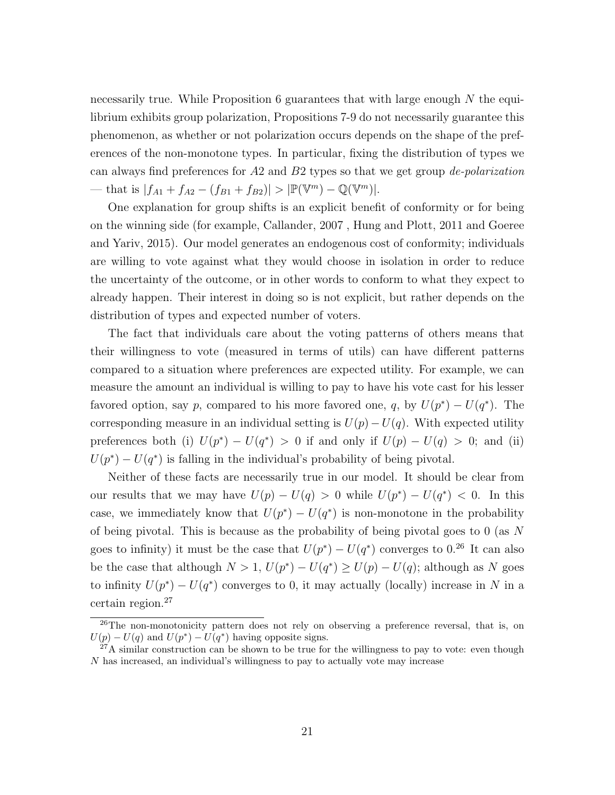necessarily true. While Proposition 6 guarantees that with large enough  $N$  the equilibrium exhibits group polarization, Propositions 7-9 do not necessarily guarantee this phenomenon, as whether or not polarization occurs depends on the shape of the preferences of the non-monotone types. In particular, fixing the distribution of types we can always find preferences for  $A2$  and  $B2$  types so that we get group *de-polarization* — that is  $|f_{A1} + f_{A2} - (f_{B1} + f_{B2})| > |\mathbb{P}(\mathbb{V}^m) - \mathbb{Q}(\mathbb{V}^m)|$ .

One explanation for group shifts is an explicit benefit of conformity or for being on the winning side (for example, Callander, 2007 , Hung and Plott, 2011 and Goeree and Yariv, 2015). Our model generates an endogenous cost of conformity; individuals are willing to vote against what they would choose in isolation in order to reduce the uncertainty of the outcome, or in other words to conform to what they expect to already happen. Their interest in doing so is not explicit, but rather depends on the distribution of types and expected number of voters.

The fact that individuals care about the voting patterns of others means that their willingness to vote (measured in terms of utils) can have different patterns compared to a situation where preferences are expected utility. For example, we can measure the amount an individual is willing to pay to have his vote cast for his lesser favored option, say p, compared to his more favored one, q, by  $U(p^*) - U(q^*)$ . The corresponding measure in an individual setting is  $U(p) - U(q)$ . With expected utility preferences both (i)  $U(p^*) - U(q^*) > 0$  if and only if  $U(p) - U(q) > 0$ ; and (ii)  $U(p^*) - U(q^*)$  is falling in the individual's probability of being pivotal.

Neither of these facts are necessarily true in our model. It should be clear from our results that we may have  $U(p) - U(q) > 0$  while  $U(p^*) - U(q^*) < 0$ . In this case, we immediately know that  $U(p^*) - U(q^*)$  is non-monotone in the probability of being pivotal. This is because as the probability of being pivotal goes to 0 (as N goes to infinity) it must be the case that  $U(p^*) - U(q^*)$  converges to 0.<sup>26</sup> It can also be the case that although  $N > 1$ ,  $U(p^*) - U(q^*) \ge U(p) - U(q)$ ; although as N goes to infinity  $U(p^*) - U(q^*)$  converges to 0, it may actually (locally) increase in N in a certain region.<sup>27</sup>

<sup>&</sup>lt;sup>26</sup>The non-monotonicity pattern does not rely on observing a preference reversal, that is, on  $U(p) - U(q)$  and  $U(p^*) - U(q^*)$  having opposite signs.

 $^{27}$ A similar construction can be shown to be true for the willingness to pay to vote: even though N has increased, an individual's willingness to pay to actually vote may increase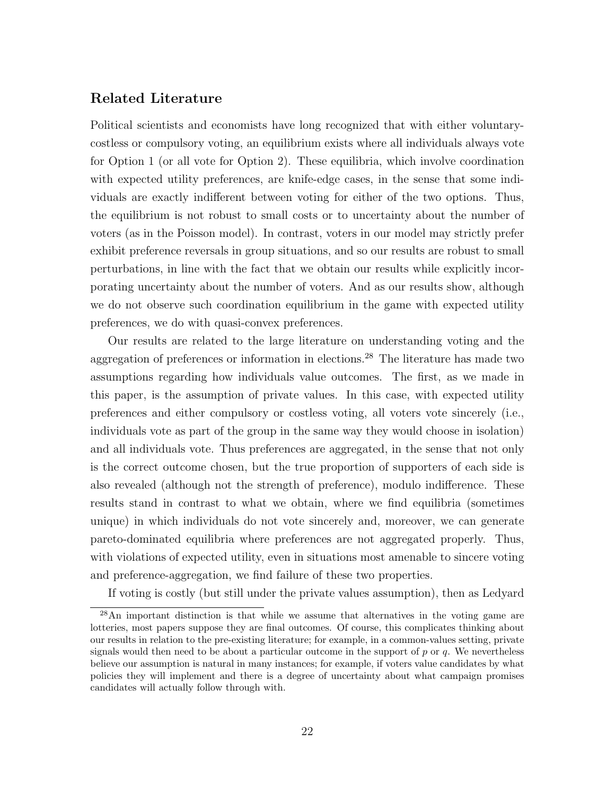### Related Literature

Political scientists and economists have long recognized that with either voluntarycostless or compulsory voting, an equilibrium exists where all individuals always vote for Option 1 (or all vote for Option 2). These equilibria, which involve coordination with expected utility preferences, are knife-edge cases, in the sense that some individuals are exactly indifferent between voting for either of the two options. Thus, the equilibrium is not robust to small costs or to uncertainty about the number of voters (as in the Poisson model). In contrast, voters in our model may strictly prefer exhibit preference reversals in group situations, and so our results are robust to small perturbations, in line with the fact that we obtain our results while explicitly incorporating uncertainty about the number of voters. And as our results show, although we do not observe such coordination equilibrium in the game with expected utility preferences, we do with quasi-convex preferences.

Our results are related to the large literature on understanding voting and the aggregation of preferences or information in elections.<sup>28</sup> The literature has made two assumptions regarding how individuals value outcomes. The first, as we made in this paper, is the assumption of private values. In this case, with expected utility preferences and either compulsory or costless voting, all voters vote sincerely (i.e., individuals vote as part of the group in the same way they would choose in isolation) and all individuals vote. Thus preferences are aggregated, in the sense that not only is the correct outcome chosen, but the true proportion of supporters of each side is also revealed (although not the strength of preference), modulo indifference. These results stand in contrast to what we obtain, where we find equilibria (sometimes unique) in which individuals do not vote sincerely and, moreover, we can generate pareto-dominated equilibria where preferences are not aggregated properly. Thus, with violations of expected utility, even in situations most amenable to sincere voting and preference-aggregation, we find failure of these two properties.

If voting is costly (but still under the private values assumption), then as Ledyard

<sup>28</sup>An important distinction is that while we assume that alternatives in the voting game are lotteries, most papers suppose they are final outcomes. Of course, this complicates thinking about our results in relation to the pre-existing literature; for example, in a common-values setting, private signals would then need to be about a particular outcome in the support of  $p$  or  $q$ . We nevertheless believe our assumption is natural in many instances; for example, if voters value candidates by what policies they will implement and there is a degree of uncertainty about what campaign promises candidates will actually follow through with.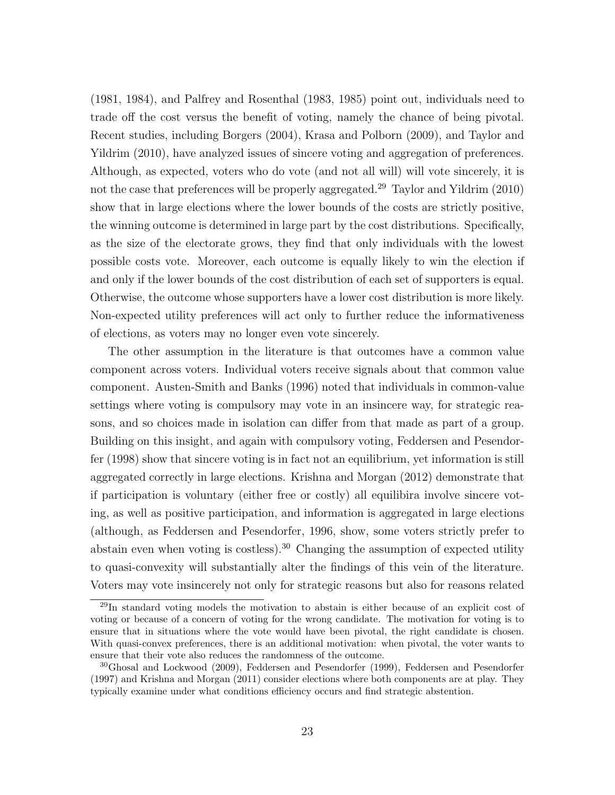(1981, 1984), and Palfrey and Rosenthal (1983, 1985) point out, individuals need to trade off the cost versus the benefit of voting, namely the chance of being pivotal. Recent studies, including Borgers (2004), Krasa and Polborn (2009), and Taylor and Yildrim (2010), have analyzed issues of sincere voting and aggregation of preferences. Although, as expected, voters who do vote (and not all will) will vote sincerely, it is not the case that preferences will be properly aggregated.<sup>29</sup> Taylor and Yildrim (2010) show that in large elections where the lower bounds of the costs are strictly positive, the winning outcome is determined in large part by the cost distributions. Specifically, as the size of the electorate grows, they find that only individuals with the lowest possible costs vote. Moreover, each outcome is equally likely to win the election if and only if the lower bounds of the cost distribution of each set of supporters is equal. Otherwise, the outcome whose supporters have a lower cost distribution is more likely. Non-expected utility preferences will act only to further reduce the informativeness of elections, as voters may no longer even vote sincerely.

The other assumption in the literature is that outcomes have a common value component across voters. Individual voters receive signals about that common value component. Austen-Smith and Banks (1996) noted that individuals in common-value settings where voting is compulsory may vote in an insincere way, for strategic reasons, and so choices made in isolation can differ from that made as part of a group. Building on this insight, and again with compulsory voting, Feddersen and Pesendorfer (1998) show that sincere voting is in fact not an equilibrium, yet information is still aggregated correctly in large elections. Krishna and Morgan (2012) demonstrate that if participation is voluntary (either free or costly) all equilibira involve sincere voting, as well as positive participation, and information is aggregated in large elections (although, as Feddersen and Pesendorfer, 1996, show, some voters strictly prefer to abstain even when voting is costless).<sup>30</sup> Changing the assumption of expected utility to quasi-convexity will substantially alter the findings of this vein of the literature. Voters may vote insincerely not only for strategic reasons but also for reasons related

<sup>29</sup>In standard voting models the motivation to abstain is either because of an explicit cost of voting or because of a concern of voting for the wrong candidate. The motivation for voting is to ensure that in situations where the vote would have been pivotal, the right candidate is chosen. With quasi-convex preferences, there is an additional motivation: when pivotal, the voter wants to ensure that their vote also reduces the randomness of the outcome.

<sup>30</sup>Ghosal and Lockwood (2009), Feddersen and Pesendorfer (1999), Feddersen and Pesendorfer (1997) and Krishna and Morgan (2011) consider elections where both components are at play. They typically examine under what conditions efficiency occurs and find strategic abstention.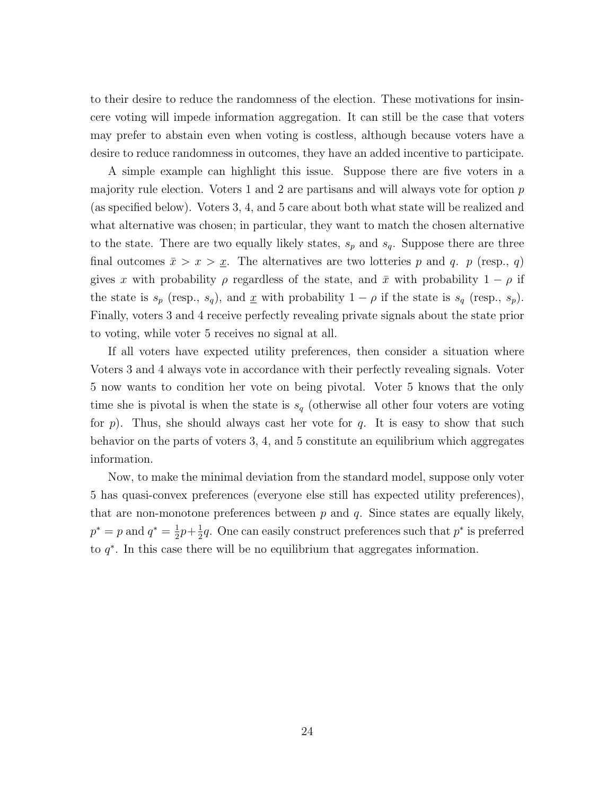to their desire to reduce the randomness of the election. These motivations for insincere voting will impede information aggregation. It can still be the case that voters may prefer to abstain even when voting is costless, although because voters have a desire to reduce randomness in outcomes, they have an added incentive to participate.

A simple example can highlight this issue. Suppose there are five voters in a majority rule election. Voters 1 and 2 are partisans and will always vote for option  $p$ (as specified below). Voters 3, 4, and 5 care about both what state will be realized and what alternative was chosen; in particular, they want to match the chosen alternative to the state. There are two equally likely states,  $s_p$  and  $s_q$ . Suppose there are three final outcomes  $\bar{x} > x > \underline{x}$ . The alternatives are two lotteries p and q. p (resp., q) gives x with probability  $\rho$  regardless of the state, and  $\bar{x}$  with probability  $1 - \rho$  if the state is  $s_p$  (resp.,  $s_q$ ), and  $\underline{x}$  with probability  $1 - \rho$  if the state is  $s_q$  (resp.,  $s_p$ ). Finally, voters 3 and 4 receive perfectly revealing private signals about the state prior to voting, while voter 5 receives no signal at all.

If all voters have expected utility preferences, then consider a situation where Voters 3 and 4 always vote in accordance with their perfectly revealing signals. Voter 5 now wants to condition her vote on being pivotal. Voter 5 knows that the only time she is pivotal is when the state is  $s_q$  (otherwise all other four voters are voting for p). Thus, she should always cast her vote for q. It is easy to show that such behavior on the parts of voters 3, 4, and 5 constitute an equilibrium which aggregates information.

Now, to make the minimal deviation from the standard model, suppose only voter 5 has quasi-convex preferences (everyone else still has expected utility preferences), that are non-monotone preferences between  $p$  and  $q$ . Since states are equally likely,  $p^* = p$  and  $q^* = \frac{1}{2}$  $rac{1}{2}p + \frac{1}{2}$  $\frac{1}{2}q$ . One can easily construct preferences such that  $p^*$  is preferred to  $q^*$ . In this case there will be no equilibrium that aggregates information.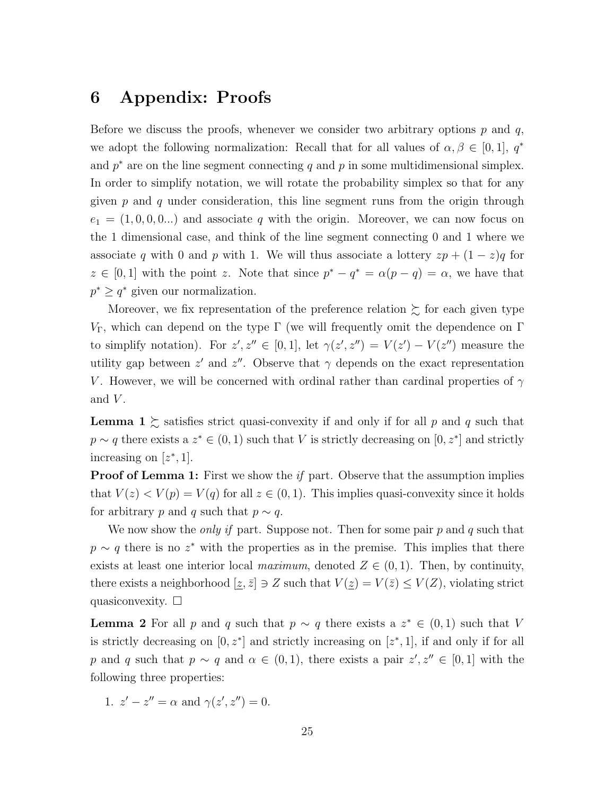### 6 Appendix: Proofs

Before we discuss the proofs, whenever we consider two arbitrary options  $p$  and  $q$ , we adopt the following normalization: Recall that for all values of  $\alpha, \beta \in [0, 1], q^*$ and  $p^*$  are on the line segment connecting q and p in some multidimensional simplex. In order to simplify notation, we will rotate the probability simplex so that for any given  $p$  and  $q$  under consideration, this line segment runs from the origin through  $e_1 = (1, 0, 0, 0...)$  and associate q with the origin. Moreover, we can now focus on the 1 dimensional case, and think of the line segment connecting 0 and 1 where we associate q with 0 and p with 1. We will thus associate a lottery  $zp + (1 - z)q$  for  $z \in [0,1]$  with the point z. Note that since  $p^* - q^* = \alpha(p-q) = \alpha$ , we have that  $p^* \geq q^*$  given our normalization.

Moreover, we fix representation of the preference relation  $\succeq$  for each given type  $V<sub>Γ</sub>$ , which can depend on the type Γ (we will frequently omit the dependence on Γ to simplify notation). For  $z', z'' \in [0,1]$ , let  $\gamma(z', z'') = V(z') - V(z'')$  measure the utility gap between  $z'$  and  $z''$ . Observe that  $\gamma$  depends on the exact representation V. However, we will be concerned with ordinal rather than cardinal properties of  $\gamma$ and  $V$ .

**Lemma**  $1 \succeq$  satisfies strict quasi-convexity if and only if for all p and q such that  $p \sim q$  there exists a  $z^* \in (0, 1)$  such that V is strictly decreasing on  $[0, z^*]$  and strictly increasing on  $[z^*, 1]$ .

**Proof of Lemma 1:** First we show the *if* part. Observe that the assumption implies that  $V(z) < V(p) = V(q)$  for all  $z \in (0, 1)$ . This implies quasi-convexity since it holds for arbitrary p and q such that  $p \sim q$ .

We now show the *only if* part. Suppose not. Then for some pair  $p$  and  $q$  such that  $p \sim q$  there is no  $z^*$  with the properties as in the premise. This implies that there exists at least one interior local maximum, denoted  $Z \in (0,1)$ . Then, by continuity, there exists a neighborhood  $[\underline{z}, \overline{z}] \ni Z$  such that  $V(\underline{z}) = V(\overline{z}) \leq V(Z)$ , violating strict quasiconvexity.  $\Box$ 

**Lemma 2** For all p and q such that  $p \sim q$  there exists a  $z^* \in (0,1)$  such that V is strictly decreasing on  $[0, z^*]$  and strictly increasing on  $[z^*, 1]$ , if and only if for all p and q such that  $p \sim q$  and  $\alpha \in (0,1)$ , there exists a pair  $z', z'' \in [0,1]$  with the following three properties:

1. 
$$
z' - z'' = \alpha
$$
 and  $\gamma(z', z'') = 0$ .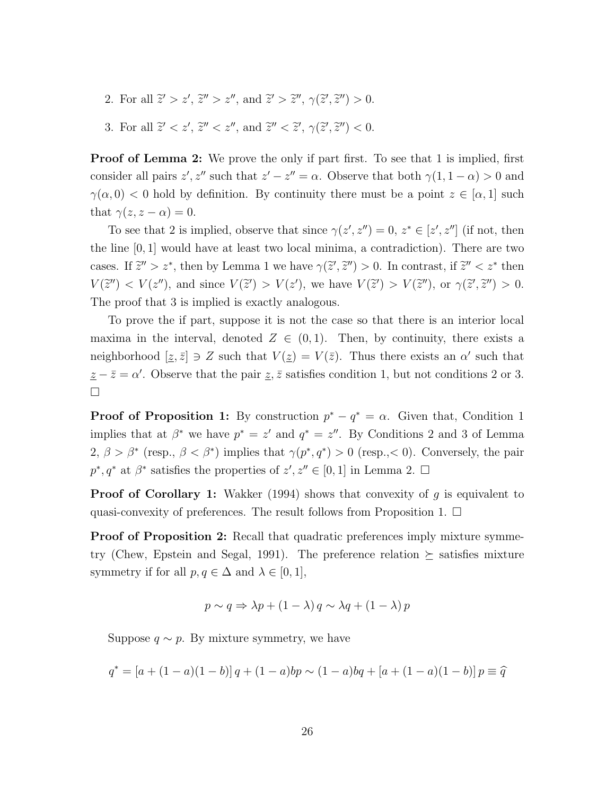- 2. For all  $\tilde{z}' > z'$ ,  $\tilde{z}'' > z''$ , and  $\tilde{z}' > \tilde{z}''$ ,  $\gamma(\tilde{z}', \tilde{z}'') > 0$ .
- 3. For all  $\tilde{z}' < z'$ ,  $\tilde{z}'' < z''$ , and  $\tilde{z}'' < \tilde{z}'$ ,  $\gamma(\tilde{z}', \tilde{z}'') < 0$ .

**Proof of Lemma 2:** We prove the only if part first. To see that 1 is implied, first consider all pairs  $z', z''$  such that  $z' - z'' = \alpha$ . Observe that both  $\gamma(1, 1 - \alpha) > 0$  and  $\gamma(\alpha, 0)$  < 0 hold by definition. By continuity there must be a point  $z \in [\alpha, 1]$  such that  $\gamma(z, z - \alpha) = 0$ .

To see that 2 is implied, observe that since  $\gamma(z', z'') = 0, z^* \in [z', z'']$  (if not, then the line [0, 1] would have at least two local minima, a contradiction). There are two cases. If  $\tilde{z}'' > z^*$ , then by Lemma 1 we have  $\gamma(\tilde{z}', \tilde{z}'') > 0$ . In contrast, if  $\tilde{z}'' < z^*$  then  $V(\tilde{z}'') < V(z'')$ , and since  $V(\tilde{z}') > V(z')$ , we have  $V(\tilde{z}') > V(\tilde{z}'')$ , or  $\gamma(\tilde{z}',\tilde{z}'') > 0$ . The proof that 3 is implied is exactly analogous.

To prove the if part, suppose it is not the case so that there is an interior local maxima in the interval, denoted  $Z \in (0,1)$ . Then, by continuity, there exists a neighborhood  $[\underline{z}, \overline{z}] \ni Z$  such that  $V(\underline{z}) = V(\overline{z})$ . Thus there exists an  $\alpha'$  such that  $\underline{z} - \overline{z} = \alpha'$ . Observe that the pair  $\underline{z}, \overline{z}$  satisfies condition 1, but not conditions 2 or 3.  $\Box$ 

**Proof of Proposition 1:** By construction  $p^* - q^* = \alpha$ . Given that, Condition 1 implies that at  $\beta^*$  we have  $p^* = z'$  and  $q^* = z''$ . By Conditions 2 and 3 of Lemma  $2, \beta > \beta^*$  (resp.,  $\beta < \beta^*$ ) implies that  $\gamma(p^*, q^*) > 0$  (resp., < 0). Conversely, the pair  $p^*, q^*$  at  $\beta^*$  satisfies the properties of  $z', z'' \in [0, 1]$  in Lemma 2.  $\Box$ 

**Proof of Corollary 1:** Wakker (1994) shows that convexity of g is equivalent to quasi-convexity of preferences. The result follows from Proposition 1.  $\Box$ 

**Proof of Proposition 2:** Recall that quadratic preferences imply mixture symmetry (Chew, Epstein and Segal, 1991). The preference relation  $\succeq$  satisfies mixture symmetry if for all  $p, q \in \Delta$  and  $\lambda \in [0, 1],$ 

$$
p \sim q \Rightarrow \lambda p + (1 - \lambda) q \sim \lambda q + (1 - \lambda) p
$$

Suppose  $q \sim p$ . By mixture symmetry, we have

$$
q^* = [a + (1 - a)(1 - b)]q + (1 - a)bp \sim (1 - a)bq + [a + (1 - a)(1 - b)]p \equiv \hat{q}
$$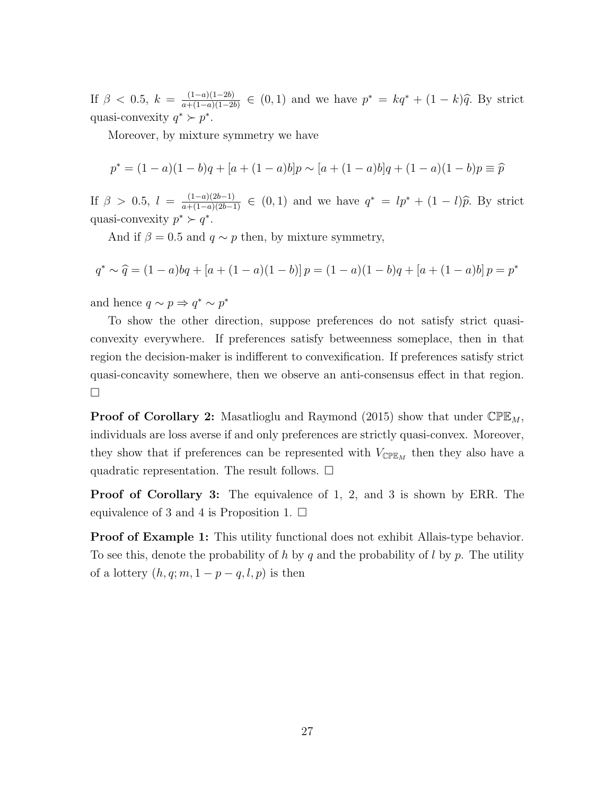If  $\beta$  < 0.5,  $k = \frac{(1-a)(1-2b)}{a+(1-a)(1-2b)}$  $\frac{(1-a)(1-2b)}{a+(1-a)(1-2b)}$  ∈ (0, 1) and we have  $p^* = kq^* + (1-k)\hat{q}$ . By strict quasi-convexity  $q^* \succ p^*$ .

Moreover, by mixture symmetry we have

$$
p^* = (1 - a)(1 - b)q + [a + (1 - a)b]p \sim [a + (1 - a)b]q + (1 - a)(1 - b)p \equiv \hat{p}
$$

If  $\beta > 0.5$ ,  $l = \frac{(1-a)(2b-1)}{a+(1-a)(2b-1)} \in (0,1)$  and we have  $q^* = lp^* + (1-l)\hat{p}$ . By strict quasi-convexity  $p^* \succ q^*$ .

And if  $\beta = 0.5$  and  $q \sim p$  then, by mixture symmetry,

$$
q^* \sim \hat{q} = (1-a)bq + [a + (1-a)(1-b)]p = (1-a)(1-b)q + [a + (1-a)b]p = p^*
$$

and hence  $q \sim p \Rightarrow q^* \sim p^*$ 

To show the other direction, suppose preferences do not satisfy strict quasiconvexity everywhere. If preferences satisfy betweenness someplace, then in that region the decision-maker is indifferent to convexification. If preferences satisfy strict quasi-concavity somewhere, then we observe an anti-consensus effect in that region.  $\Box$ 

**Proof of Corollary 2:** Masatlioglu and Raymond (2015) show that under  $\mathbb{CPE}_M$ , individuals are loss averse if and only preferences are strictly quasi-convex. Moreover, they show that if preferences can be represented with  $V_{\text{CPE}_M}$  then they also have a quadratic representation. The result follows.  $\Box$ 

Proof of Corollary 3: The equivalence of 1, 2, and 3 is shown by ERR. The equivalence of 3 and 4 is Proposition 1.  $\Box$ 

**Proof of Example 1:** This utility functional does not exhibit Allais-type behavior. To see this, denote the probability of h by q and the probability of l by p. The utility of a lottery  $(h, q; m, 1 - p - q, l, p)$  is then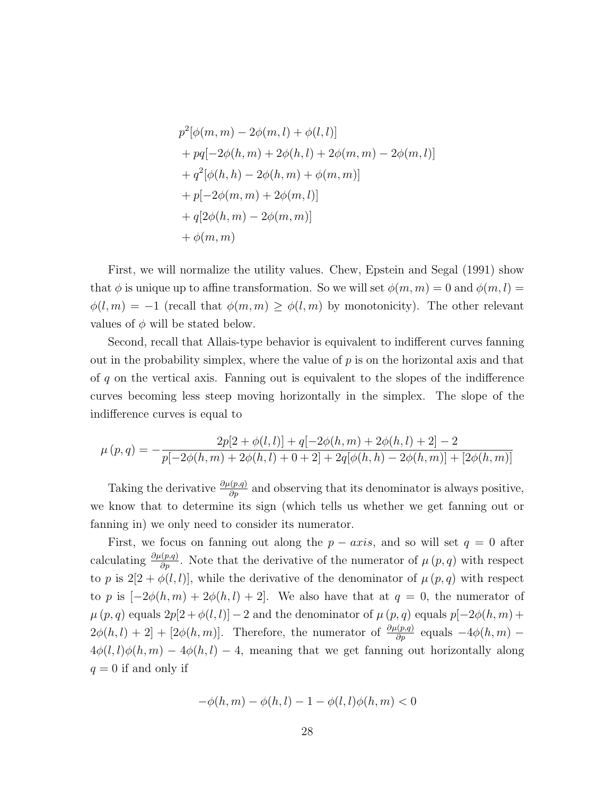$$
p^{2}[\phi(m, m) - 2\phi(m, l) + \phi(l, l)]
$$
  
+  $pq[-2\phi(h, m) + 2\phi(h, l) + 2\phi(m, m) - 2\phi(m, l)]$   
+  $q^{2}[\phi(h, h) - 2\phi(h, m) + \phi(m, m)]$   
+  $p[-2\phi(m, m) + 2\phi(m, l)]$   
+  $q[2\phi(h, m) - 2\phi(m, m)]$   
+  $\phi(m, m)$ 

First, we will normalize the utility values. Chew, Epstein and Segal (1991) show that  $\phi$  is unique up to affine transformation. So we will set  $\phi(m, m) = 0$  and  $\phi(m, l) =$  $\phi(l,m) = -1$  (recall that  $\phi(m,m) \geq \phi(l,m)$  by monotonicity). The other relevant values of  $\phi$  will be stated below.

Second, recall that Allais-type behavior is equivalent to indifferent curves fanning out in the probability simplex, where the value of  $p$  is on the horizontal axis and that of q on the vertical axis. Fanning out is equivalent to the slopes of the indifference curves becoming less steep moving horizontally in the simplex. The slope of the indifference curves is equal to

$$
\mu(p,q) = -\frac{2p[2 + \phi(l,l)] + q[-2\phi(h,m) + 2\phi(h,l) + 2] - 2}{p[-2\phi(h,m) + 2\phi(h,l) + 0 + 2] + 2q[\phi(h,h) - 2\phi(h,m)] + [2\phi(h,m)]}
$$

Taking the derivative  $\frac{\partial \mu(p,q)}{\partial p}$  and observing that its denominator is always positive, we know that to determine its sign (which tells us whether we get fanning out or fanning in) we only need to consider its numerator.

First, we focus on fanning out along the  $p - axis$ , and so will set  $q = 0$  after calculating  $\frac{\partial \mu(p,q)}{\partial p}$ . Note that the derivative of the numerator of  $\mu(p,q)$  with respect to p is  $2[2 + \phi(l, l)]$ , while the derivative of the denominator of  $\mu(p, q)$  with respect to p is  $[-2\phi(h,m) + 2\phi(h,l) + 2]$ . We also have that at  $q = 0$ , the numerator of  $\mu(p,q)$  equals  $2p[2+\phi(l,l)]-2$  and the denominator of  $\mu(p,q)$  equals  $p[-2\phi(h,m)+$  $2\phi(h,l) + 2] + [2\phi(h,m)]$ . Therefore, the numerator of  $\frac{\partial \mu(p,q)}{\partial p}$  equals  $-4\phi(h,m)$ .  $4\phi(l, l)\phi(h, m) - 4\phi(h, l) - 4$ , meaning that we get fanning out horizontally along  $q = 0$  if and only if

$$
-\phi(h, m) - \phi(h, l) - 1 - \phi(l, l)\phi(h, m) < 0
$$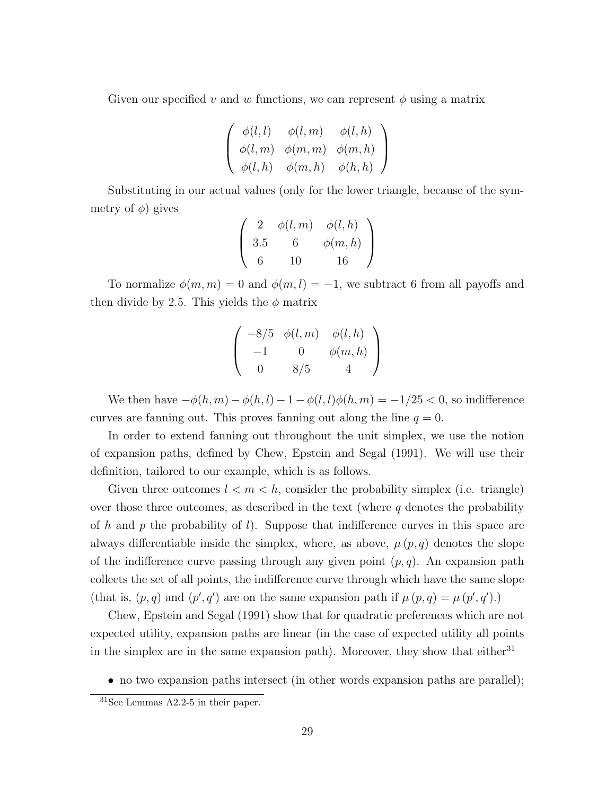Given our specified v and w functions, we can represent  $\phi$  using a matrix

$$
\left(\begin{array}{ccc} \phi(l,l) & \phi(l,m) & \phi(l,h) \\ \phi(l,m) & \phi(m,m) & \phi(m,h) \\ \phi(l,h) & \phi(m,h) & \phi(h,h) \end{array}\right)
$$

Substituting in our actual values (only for the lower triangle, because of the symmetry of  $\phi$ ) gives

$$
\left(\begin{array}{ccc} 2 & \phi(l,m) & \phi(l,h) \\ 3.5 & 6 & \phi(m,h) \\ 6 & 10 & 16 \end{array}\right)
$$

To normalize  $\phi(m, m) = 0$  and  $\phi(m, l) = -1$ , we subtract 6 from all payoffs and then divide by 2.5. This yields the  $\phi$  matrix

$$
\left(\begin{array}{ccc}-8/5 & \phi(l,m) & \phi(l,h)\\-1 & 0 & \phi(m,h)\\0 & 8/5 & 4\end{array}\right)
$$

We then have  $-\phi(h, m) - \phi(h, l) - 1 - \phi(l, l)\phi(h, m) = -1/25 < 0$ , so indifference curves are fanning out. This proves fanning out along the line  $q = 0$ .

In order to extend fanning out throughout the unit simplex, we use the notion of expansion paths, defined by Chew, Epstein and Segal (1991). We will use their definition, tailored to our example, which is as follows.

Given three outcomes  $l < m < h$ , consider the probability simplex (i.e. triangle) over those three outcomes, as described in the text (where  $q$  denotes the probability of h and p the probability of l). Suppose that indifference curves in this space are always differentiable inside the simplex, where, as above,  $\mu(p,q)$  denotes the slope of the indifference curve passing through any given point  $(p, q)$ . An expansion path collects the set of all points, the indifference curve through which have the same slope (that is,  $(p, q)$  and  $(p', q')$  are on the same expansion path if  $\mu(p, q) = \mu(p', q')$ .)

Chew, Epstein and Segal (1991) show that for quadratic preferences which are not expected utility, expansion paths are linear (in the case of expected utility all points in the simplex are in the same expansion path). Moreover, they show that either<sup>31</sup>

• no two expansion paths intersect (in other words expansion paths are parallel);

<sup>31</sup>See Lemmas A2.2-5 in their paper.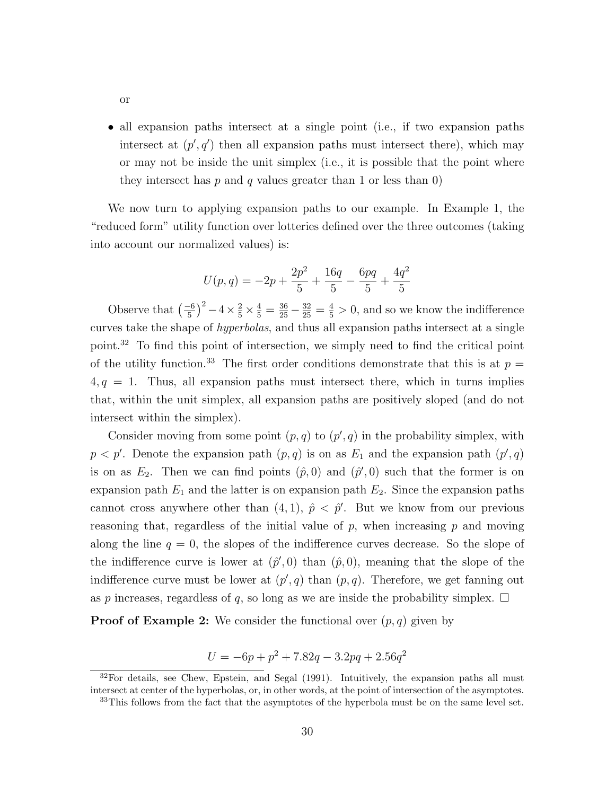• all expansion paths intersect at a single point (i.e., if two expansion paths intersect at  $(p', q')$  then all expansion paths must intersect there), which may or may not be inside the unit simplex (i.e., it is possible that the point where they intersect has  $p$  and  $q$  values greater than 1 or less than 0)

We now turn to applying expansion paths to our example. In Example 1, the "reduced form" utility function over lotteries defined over the three outcomes (taking into account our normalized values) is:

$$
U(p,q) = -2p + \frac{2p^2}{5} + \frac{16q}{5} - \frac{6pq}{5} + \frac{4q^2}{5}
$$

Observe that  $\left(\frac{-6}{5}\right)$  $(\frac{1}{5})^2 - 4 \times \frac{2}{5} \times \frac{4}{5} = \frac{36}{25} - \frac{32}{25} = \frac{4}{5} > 0$ , and so we know the indifference curves take the shape of hyperbolas, and thus all expansion paths intersect at a single point.<sup>32</sup> To find this point of intersection, we simply need to find the critical point of the utility function.<sup>33</sup> The first order conditions demonstrate that this is at  $p =$  $4, q = 1$ . Thus, all expansion paths must intersect there, which in turns implies that, within the unit simplex, all expansion paths are positively sloped (and do not intersect within the simplex).

Consider moving from some point  $(p, q)$  to  $(p', q)$  in the probability simplex, with  $p < p'$ . Denote the expansion path  $(p, q)$  is on as  $E_1$  and the expansion path  $(p', q)$ is on as  $E_2$ . Then we can find points  $(\hat{p},0)$  and  $(\hat{p}',0)$  such that the former is on expansion path  $E_1$  and the latter is on expansion path  $E_2$ . Since the expansion paths cannot cross anywhere other than  $(4, 1)$ ,  $\hat{p} < \hat{p}'$ . But we know from our previous reasoning that, regardless of the initial value of  $p$ , when increasing  $p$  and moving along the line  $q = 0$ , the slopes of the indifference curves decrease. So the slope of the indifference curve is lower at  $(\hat{p}', 0)$  than  $(\hat{p}, 0)$ , meaning that the slope of the indifference curve must be lower at  $(p', q)$  than  $(p, q)$ . Therefore, we get fanning out as p increases, regardless of q, so long as we are inside the probability simplex.  $\Box$ 

**Proof of Example 2:** We consider the functional over  $(p, q)$  given by

$$
U = -6p + p^2 + 7.82q - 3.2pq + 2.56q^2
$$

or

 $32$ For details, see Chew, Epstein, and Segal (1991). Intuitively, the expansion paths all must intersect at center of the hyperbolas, or, in other words, at the point of intersection of the asymptotes.

<sup>&</sup>lt;sup>33</sup>This follows from the fact that the asymptotes of the hyperbola must be on the same level set.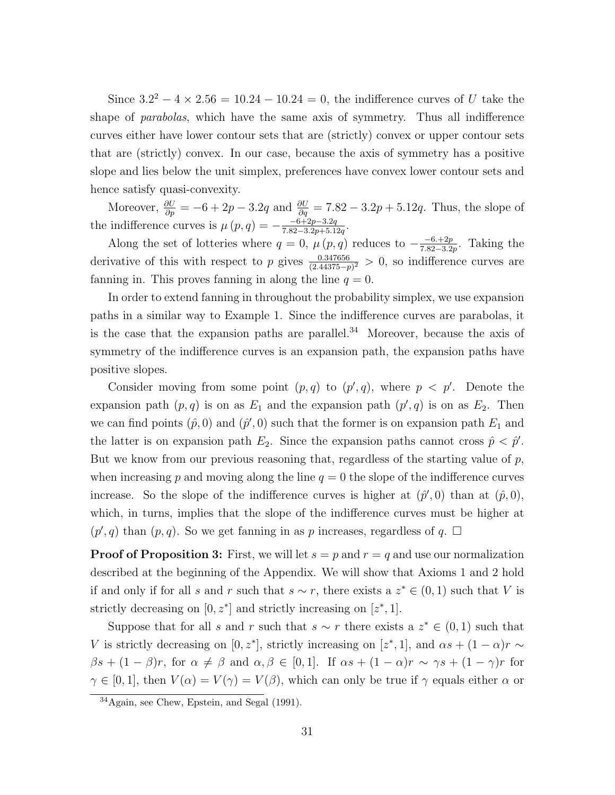Since  $3.2^2 - 4 \times 2.56 = 10.24 - 10.24 = 0$ , the indifference curves of U take the shape of *parabolas*, which have the same axis of symmetry. Thus all indifference curves either have lower contour sets that are (strictly) convex or upper contour sets that are (strictly) convex. In our case, because the axis of symmetry has a positive slope and lies below the unit simplex, preferences have convex lower contour sets and hence satisfy quasi-convexity.

Moreover,  $\frac{\partial U}{\partial p} = -6 + 2p - 3.2q$  and  $\frac{\partial U}{\partial q} = 7.82 - 3.2p + 5.12q$ . Thus, the slope of the indifference curves is  $\mu(p,q) = -\frac{-6+2p-3.2q}{7.82-3.2p+5.1}$  $\frac{-6+2p-3.2q}{7.82-3.2p+5.12q}.$ 

Along the set of lotteries where  $q = 0$ ,  $\mu(p,q)$  reduces to  $-\frac{-6+2p}{782-3p}$  $\frac{-6.+2p}{7.82-3.2p}$ . Taking the derivative of this with respect to p gives  $\frac{0.347656}{(2.44375-p)^2} > 0$ , so indifference curves are fanning in. This proves fanning in along the line  $q = 0$ .

In order to extend fanning in throughout the probability simplex, we use expansion paths in a similar way to Example 1. Since the indifference curves are parabolas, it is the case that the expansion paths are parallel.<sup>34</sup> Moreover, because the axis of symmetry of the indifference curves is an expansion path, the expansion paths have positive slopes.

Consider moving from some point  $(p, q)$  to  $(p', q)$ , where  $p < p'$ . Denote the expansion path  $(p, q)$  is on as  $E_1$  and the expansion path  $(p', q)$  is on as  $E_2$ . Then we can find points  $(\hat{p}, 0)$  and  $(\hat{p}', 0)$  such that the former is on expansion path  $E_1$  and the latter is on expansion path  $E_2$ . Since the expansion paths cannot cross  $\hat{p} < \hat{p}'$ . But we know from our previous reasoning that, regardless of the starting value of  $p$ , when increasing p and moving along the line  $q = 0$  the slope of the indifference curves increase. So the slope of the indifference curves is higher at  $(\hat{p}',0)$  than at  $(\hat{p},0)$ , which, in turns, implies that the slope of the indifference curves must be higher at  $(p', q)$  than  $(p, q)$ . So we get fanning in as p increases, regardless of q.  $\Box$ 

**Proof of Proposition 3:** First, we will let  $s = p$  and  $r = q$  and use our normalization described at the beginning of the Appendix. We will show that Axioms 1 and 2 hold if and only if for all s and r such that  $s \sim r$ , there exists a  $z^* \in (0, 1)$  such that V is strictly decreasing on  $[0, z^*]$  and strictly increasing on  $[z^*, 1]$ .

Suppose that for all s and r such that  $s \sim r$  there exists a  $z^* \in (0,1)$  such that V is strictly decreasing on [0, z<sup>\*</sup>], strictly increasing on [z<sup>\*</sup>, 1], and  $\alpha s + (1 - \alpha)r \sim$  $\beta s + (1 - \beta)r$ , for  $\alpha \neq \beta$  and  $\alpha, \beta \in [0, 1]$ . If  $\alpha s + (1 - \alpha)r \sim \gamma s + (1 - \gamma)r$  for  $\gamma \in [0,1]$ , then  $V(\alpha) = V(\gamma) = V(\beta)$ , which can only be true if  $\gamma$  equals either  $\alpha$  or

<sup>34</sup>Again, see Chew, Epstein, and Segal (1991).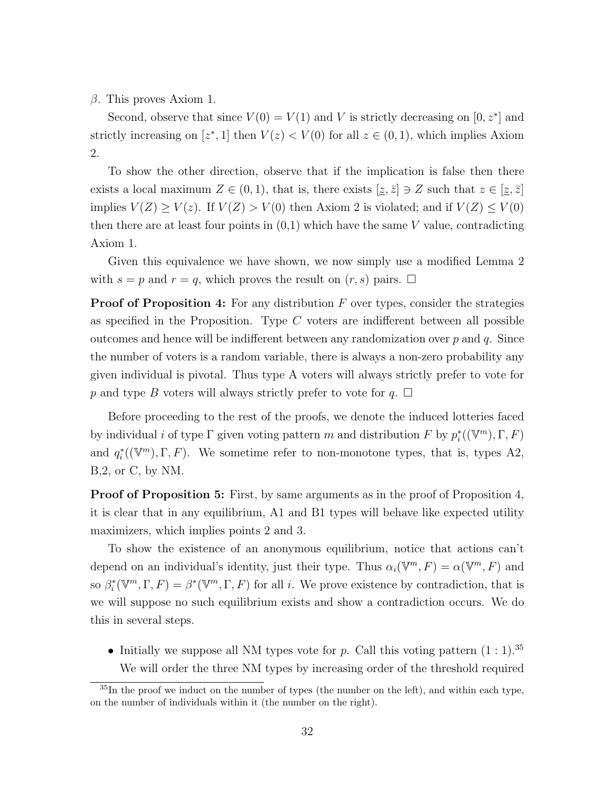$β$ . This proves Axiom 1.

Second, observe that since  $V(0) = V(1)$  and V is strictly decreasing on  $[0, z^*]$  and strictly increasing on  $[z^*, 1]$  then  $V(z) < V(0)$  for all  $z \in (0, 1)$ , which implies Axiom 2.

To show the other direction, observe that if the implication is false then there exists a local maximum  $Z \in (0,1)$ , that is, there exists  $[\underline{z}, \overline{z}] \ni Z$  such that  $z \in [\underline{z}, \overline{z}]$ implies  $V(Z) \ge V(z)$ . If  $V(Z) > V(0)$  then Axiom 2 is violated; and if  $V(Z) \le V(0)$ then there are at least four points in  $(0,1)$  which have the same V value, contradicting Axiom 1.

Given this equivalence we have shown, we now simply use a modified Lemma 2 with  $s = p$  and  $r = q$ , which proves the result on  $(r, s)$  pairs.  $\Box$ 

**Proof of Proposition 4:** For any distribution  $F$  over types, consider the strategies as specified in the Proposition. Type  $C$  voters are indifferent between all possible outcomes and hence will be indifferent between any randomization over  $p$  and  $q$ . Since the number of voters is a random variable, there is always a non-zero probability any given individual is pivotal. Thus type A voters will always strictly prefer to vote for p and type B voters will always strictly prefer to vote for  $q$ .  $\Box$ 

Before proceeding to the rest of the proofs, we denote the induced lotteries faced by individual *i* of type  $\Gamma$  given voting pattern m and distribution F by  $p_i^*((\mathbb{V}^m), \Gamma, F)$ and  $q_i^*((\mathbb{V}^m), \Gamma, F)$ . We sometime refer to non-monotone types, that is, types A2, B,2, or C, by NM.

**Proof of Proposition 5:** First, by same arguments as in the proof of Proposition 4, it is clear that in any equilibrium, A1 and B1 types will behave like expected utility maximizers, which implies points 2 and 3.

To show the existence of an anonymous equilibrium, notice that actions can't depend on an individual's identity, just their type. Thus  $\alpha_i(\mathbb{V}^m, F) = \alpha(\mathbb{V}^m, F)$  and so  $\beta_i^*(\mathbb{V}^m, \Gamma, F) = \beta^*(\mathbb{V}^m, \Gamma, F)$  for all *i*. We prove existence by contradiction, that is we will suppose no such equilibrium exists and show a contradiction occurs. We do this in several steps.

• Initially we suppose all NM types vote for p. Call this voting pattern  $(1:1).^{35}$ We will order the three NM types by increasing order of the threshold required

 $35$ In the proof we induct on the number of types (the number on the left), and within each type, on the number of individuals within it (the number on the right).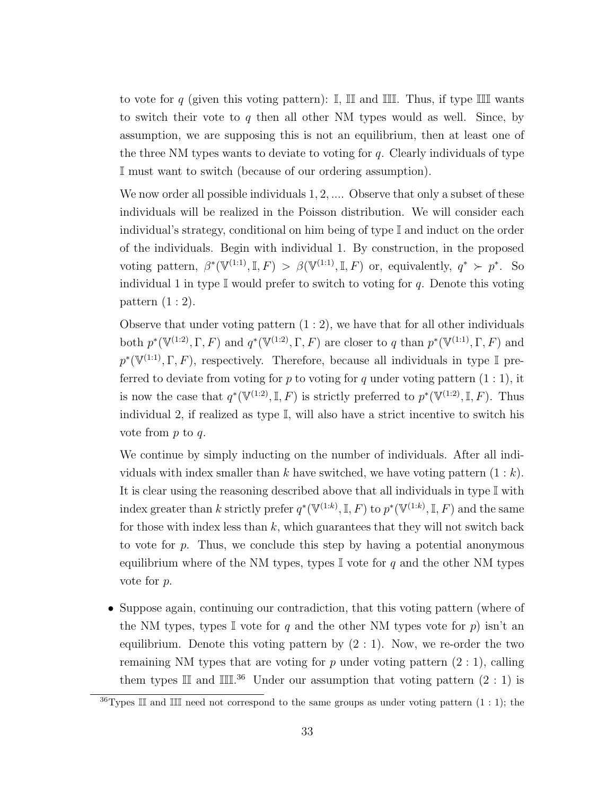to vote for q (given this voting pattern):  $\mathbb{I}$ ,  $\mathbb{II}$  and  $\mathbb{III}$ . Thus, if type  $\mathbb{III}$  wants to switch their vote to  $q$  then all other NM types would as well. Since, by assumption, we are supposing this is not an equilibrium, then at least one of the three NM types wants to deviate to voting for  $q$ . Clearly individuals of type I must want to switch (because of our ordering assumption).

We now order all possible individuals  $1, 2, \ldots$  Observe that only a subset of these individuals will be realized in the Poisson distribution. We will consider each individual's strategy, conditional on him being of type I and induct on the order of the individuals. Begin with individual 1. By construction, in the proposed voting pattern,  $\beta^*(\mathbb{V}^{(1:1)}, \mathbb{I}, F) > \beta(\mathbb{V}^{(1:1)}, \mathbb{I}, F)$  or, equivalently,  $q^* \succ p^*$ . So individual 1 in type  $\mathbb I$  would prefer to switch to voting for q. Denote this voting pattern (1 : 2).

Observe that under voting pattern  $(1:2)$ , we have that for all other individuals both  $p^*(\mathbb{V}^{(1:2)}, \Gamma, F)$  and  $q^*(\mathbb{V}^{(1:2)}, \Gamma, F)$  are closer to q than  $p^*(\mathbb{V}^{(1:1)}, \Gamma, F)$  and  $p^*(\mathbb{V}^{(1:1)}, \Gamma, F)$ , respectively. Therefore, because all individuals in type I preferred to deviate from voting for p to voting for q under voting pattern  $(1:1)$ , it is now the case that  $q^*(\mathbb{V}^{(1:2)}, \mathbb{I}, F)$  is strictly preferred to  $p^*(\mathbb{V}^{(1:2)}, \mathbb{I}, F)$ . Thus individual 2, if realized as type I, will also have a strict incentive to switch his vote from  $p$  to  $q$ .

We continue by simply inducting on the number of individuals. After all individuals with index smaller than k have switched, we have voting pattern  $(1 : k)$ . It is clear using the reasoning described above that all individuals in type  $\mathbb I$  with index greater than k strictly prefer  $q^*(\mathbb{V}^{(1:k)}, \mathbb{I}, F)$  to  $p^*(\mathbb{V}^{(1:k)}, \mathbb{I}, F)$  and the same for those with index less than  $k$ , which guarantees that they will not switch back to vote for  $p$ . Thus, we conclude this step by having a potential anonymous equilibrium where of the NM types, types  $\mathbb I$  vote for q and the other NM types vote for p.

• Suppose again, continuing our contradiction, that this voting pattern (where of the NM types, types I vote for q and the other NM types vote for  $p$ ) isn't an equilibrium. Denote this voting pattern by  $(2:1)$ . Now, we re-order the two remaining NM types that are voting for p under voting pattern  $(2:1)$ , calling them types  $\mathbb{II}$  and  $\mathbb{III}^{36}$  Under our assumption that voting pattern  $(2:1)$  is

<sup>&</sup>lt;sup>36</sup>Types II and III need not correspond to the same groups as under voting pattern  $(1:1)$ ; the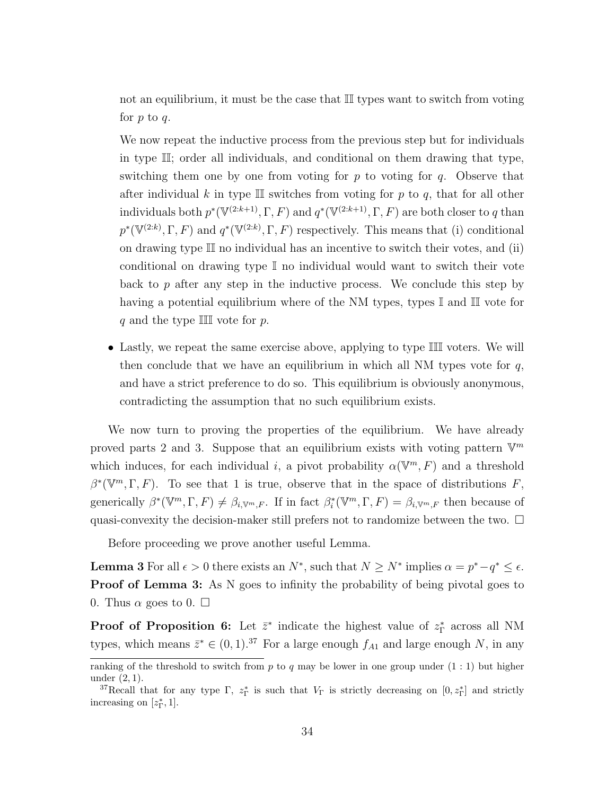not an equilibrium, it must be the case that II types want to switch from voting for  $p$  to  $q$ .

We now repeat the inductive process from the previous step but for individuals in type II; order all individuals, and conditional on them drawing that type, switching them one by one from voting for  $p$  to voting for  $q$ . Observe that after individual k in type III switches from voting for p to q, that for all other individuals both  $p^*(\mathbb{V}^{(2:k+1)}, \Gamma, F)$  and  $q^*(\mathbb{V}^{(2:k+1)}, \Gamma, F)$  are both closer to q than  $p^*(\mathbb{V}^{(2:k)},\Gamma,F)$  and  $q^*(\mathbb{V}^{(2:k)},\Gamma,F)$  respectively. This means that (i) conditional on drawing type II no individual has an incentive to switch their votes, and (ii) conditional on drawing type I no individual would want to switch their vote back to p after any step in the inductive process. We conclude this step by having a potential equilibrium where of the NM types, types I and II vote for q and the type  $\mathbb{III}$  vote for p.

• Lastly, we repeat the same exercise above, applying to type III voters. We will then conclude that we have an equilibrium in which all NM types vote for  $q$ , and have a strict preference to do so. This equilibrium is obviously anonymous, contradicting the assumption that no such equilibrium exists.

We now turn to proving the properties of the equilibrium. We have already proved parts 2 and 3. Suppose that an equilibrium exists with voting pattern  $\mathbb{V}^m$ which induces, for each individual i, a pivot probability  $\alpha(\mathbb{V}^m, F)$  and a threshold  $\beta^*(\mathbb{V}^m,\Gamma,F)$ . To see that 1 is true, observe that in the space of distributions F, generically  $\beta^*(\mathbb{V}^m, \Gamma, F) \neq \beta_{i, \mathbb{V}^m, F}$ . If in fact  $\beta_i^*(\mathbb{V}^m, \Gamma, F) = \beta_{i, \mathbb{V}^m, F}$  then because of quasi-convexity the decision-maker still prefers not to randomize between the two.  $\Box$ 

Before proceeding we prove another useful Lemma.

**Lemma 3** For all  $\epsilon > 0$  there exists an  $N^*$ , such that  $N \geq N^*$  implies  $\alpha = p^* - q^* \leq \epsilon$ . **Proof of Lemma 3:** As N goes to infinity the probability of being pivotal goes to 0. Thus  $\alpha$  goes to 0.  $\square$ 

**Proof of Proposition 6:** Let  $\bar{z}^*$  indicate the highest value of  $z_{\Gamma}^*$  across all NM types, which means  $\bar{z}^* \in (0,1).^{37}$  For a large enough  $f_{A1}$  and large enough N, in any

ranking of the threshold to switch from p to q may be lower in one group under  $(1:1)$  but higher under (2, 1).

<sup>&</sup>lt;sup>37</sup>Recall that for any type  $\Gamma$ ,  $z_{\Gamma}^*$  is such that  $V_{\Gamma}$  is strictly decreasing on  $[0, z_{\Gamma}^*]$  and strictly increasing on  $[z_{\Gamma}^*, 1]$ .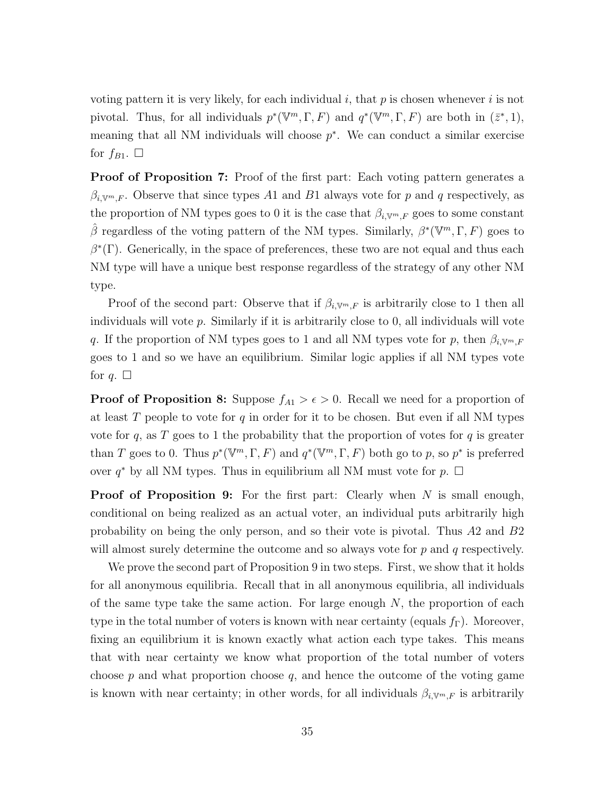voting pattern it is very likely, for each individual  $i$ , that  $p$  is chosen whenever  $i$  is not pivotal. Thus, for all individuals  $p^*(\mathbb{V}^m, \Gamma, F)$  and  $q^*(\mathbb{V}^m, \Gamma, F)$  are both in  $(\bar{z}^*, 1)$ , meaning that all NM individuals will choose  $p^*$ . We can conduct a similar exercise for  $f_{B1}$ .  $\square$ 

**Proof of Proposition 7:** Proof of the first part: Each voting pattern generates a  $\beta_{i, \mathbb{V}^m,F}$ . Observe that since types A1 and B1 always vote for p and q respectively, as the proportion of NM types goes to 0 it is the case that  $\beta_{i, \mathbb{V}^m,F}$  goes to some constant  $\hat{\beta}$  regardless of the voting pattern of the NM types. Similarly,  $\beta^*(\mathbb{V}^m,\Gamma,F)$  goes to  $\beta^*(\Gamma)$ . Generically, in the space of preferences, these two are not equal and thus each NM type will have a unique best response regardless of the strategy of any other NM type.

Proof of the second part: Observe that if  $\beta_{i, \mathbb{V}^m,F}$  is arbitrarily close to 1 then all individuals will vote  $p$ . Similarly if it is arbitrarily close to  $0$ , all individuals will vote q. If the proportion of NM types goes to 1 and all NM types vote for p, then  $\beta_{i, \mathbb{V}^m,F}$ goes to 1 and so we have an equilibrium. Similar logic applies if all NM types vote for  $q.$   $\Box$ 

**Proof of Proposition 8:** Suppose  $f_{A1} > \epsilon > 0$ . Recall we need for a proportion of at least  $T$  people to vote for  $q$  in order for it to be chosen. But even if all NM types vote for  $q$ , as  $T$  goes to 1 the probability that the proportion of votes for  $q$  is greater than T goes to 0. Thus  $p^*(\mathbb{V}^m, \Gamma, F)$  and  $q^*(\mathbb{V}^m, \Gamma, F)$  both go to p, so  $p^*$  is preferred over  $q^*$  by all NM types. Thus in equilibrium all NM must vote for  $p$ .  $\Box$ 

**Proof of Proposition 9:** For the first part: Clearly when  $N$  is small enough, conditional on being realized as an actual voter, an individual puts arbitrarily high probability on being the only person, and so their vote is pivotal. Thus A2 and B2 will almost surely determine the outcome and so always vote for  $p$  and  $q$  respectively.

We prove the second part of Proposition 9 in two steps. First, we show that it holds for all anonymous equilibria. Recall that in all anonymous equilibria, all individuals of the same type take the same action. For large enough  $N$ , the proportion of each type in the total number of voters is known with near certainty (equals  $f_{\Gamma}$ ). Moreover, fixing an equilibrium it is known exactly what action each type takes. This means that with near certainty we know what proportion of the total number of voters choose  $p$  and what proportion choose  $q$ , and hence the outcome of the voting game is known with near certainty; in other words, for all individuals  $\beta_{i, \mathbb{V}^m,F}$  is arbitrarily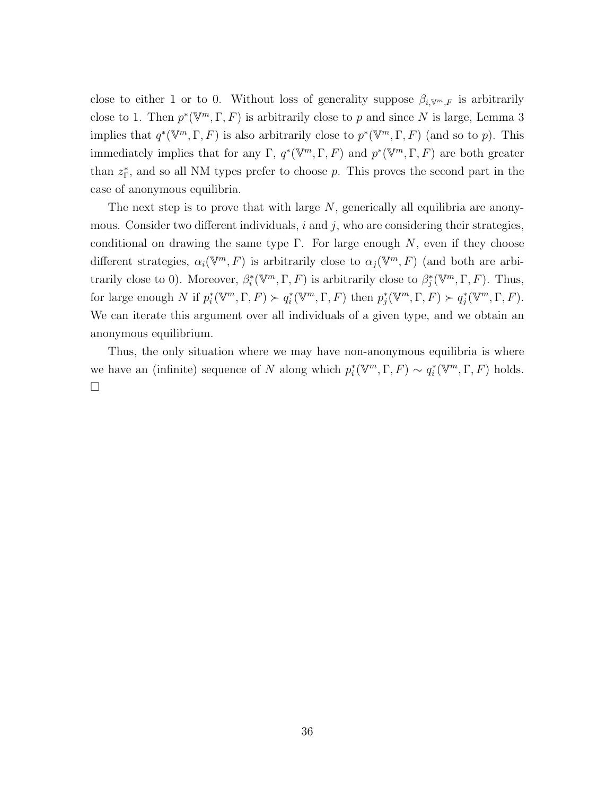close to either 1 or to 0. Without loss of generality suppose  $\beta_{i, \mathbb{V}^m,F}$  is arbitrarily close to 1. Then  $p^*(\mathbb{V}^m, \Gamma, F)$  is arbitrarily close to p and since N is large, Lemma 3 implies that  $q^*(\mathbb{V}^m,\Gamma,F)$  is also arbitrarily close to  $p^*(\mathbb{V}^m,\Gamma,F)$  (and so to p). This immediately implies that for any  $\Gamma$ ,  $q^*(\mathbb{V}^m, \Gamma, F)$  and  $p^*(\mathbb{V}^m, \Gamma, F)$  are both greater than  $z_{\Gamma}^*$ , and so all NM types prefer to choose p. This proves the second part in the case of anonymous equilibria.

The next step is to prove that with large  $N$ , generically all equilibria are anonymous. Consider two different individuals,  $i$  and  $j$ , who are considering their strategies, conditional on drawing the same type  $\Gamma$ . For large enough N, even if they choose different strategies,  $\alpha_i(\mathbb{V}^m, F)$  is arbitrarily close to  $\alpha_j(\mathbb{V}^m, F)$  (and both are arbitrarily close to 0). Moreover,  $\beta_i^*(\mathbb{V}^m, \Gamma, F)$  is arbitrarily close to  $\beta_j^*(\mathbb{V}^m, \Gamma, F)$ . Thus, for large enough N if  $p_i^*(\mathbb{V}^m, \Gamma, F) \succ q_i^*(\mathbb{V}^m, \Gamma, F)$  then  $p_j^*(\mathbb{V}^m, \Gamma, F) \succ q_j^*(\mathbb{V}^m, \Gamma, F)$ . We can iterate this argument over all individuals of a given type, and we obtain an anonymous equilibrium.

Thus, the only situation where we may have non-anonymous equilibria is where we have an (infinite) sequence of N along which  $p_i^*(\mathbb{V}^m, \Gamma, F) \sim q_i^*(\mathbb{V}^m, \Gamma, F)$  holds.  $\Box$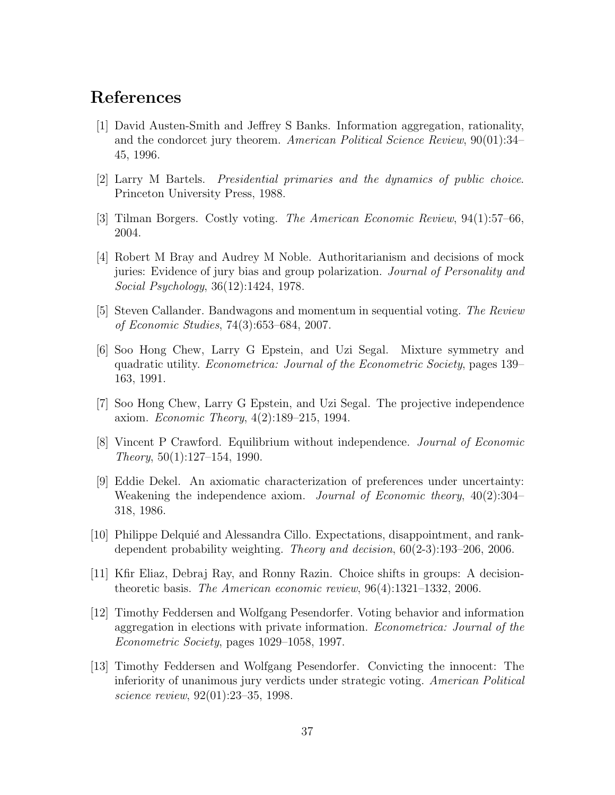## References

- [1] David Austen-Smith and Jeffrey S Banks. Information aggregation, rationality, and the condorcet jury theorem. American Political Science Review, 90(01):34– 45, 1996.
- [2] Larry M Bartels. Presidential primaries and the dynamics of public choice. Princeton University Press, 1988.
- [3] Tilman Borgers. Costly voting. The American Economic Review, 94(1):57–66, 2004.
- [4] Robert M Bray and Audrey M Noble. Authoritarianism and decisions of mock juries: Evidence of jury bias and group polarization. Journal of Personality and Social Psychology, 36(12):1424, 1978.
- [5] Steven Callander. Bandwagons and momentum in sequential voting. The Review of Economic Studies, 74(3):653–684, 2007.
- [6] Soo Hong Chew, Larry G Epstein, and Uzi Segal. Mixture symmetry and quadratic utility. Econometrica: Journal of the Econometric Society, pages 139– 163, 1991.
- [7] Soo Hong Chew, Larry G Epstein, and Uzi Segal. The projective independence axiom. Economic Theory, 4(2):189–215, 1994.
- [8] Vincent P Crawford. Equilibrium without independence. Journal of Economic Theory, 50(1):127–154, 1990.
- [9] Eddie Dekel. An axiomatic characterization of preferences under uncertainty: Weakening the independence axiom. Journal of Economic theory, 40(2):304– 318, 1986.
- [10] Philippe Delquié and Alessandra Cillo. Expectations, disappointment, and rankdependent probability weighting. Theory and decision, 60(2-3):193–206, 2006.
- [11] Kfir Eliaz, Debraj Ray, and Ronny Razin. Choice shifts in groups: A decisiontheoretic basis. The American economic review, 96(4):1321–1332, 2006.
- [12] Timothy Feddersen and Wolfgang Pesendorfer. Voting behavior and information aggregation in elections with private information. Econometrica: Journal of the Econometric Society, pages 1029–1058, 1997.
- [13] Timothy Feddersen and Wolfgang Pesendorfer. Convicting the innocent: The inferiority of unanimous jury verdicts under strategic voting. American Political science review, 92(01):23–35, 1998.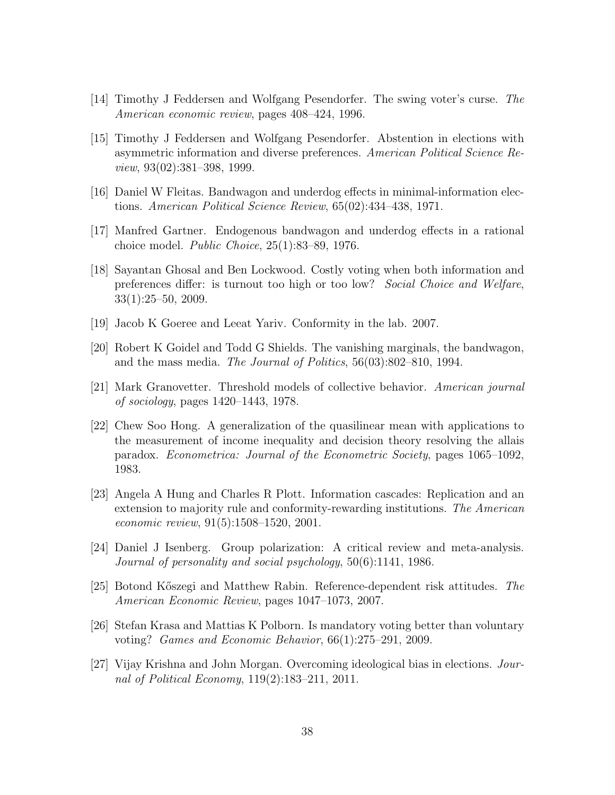- [14] Timothy J Feddersen and Wolfgang Pesendorfer. The swing voter's curse. The American economic review, pages 408–424, 1996.
- [15] Timothy J Feddersen and Wolfgang Pesendorfer. Abstention in elections with asymmetric information and diverse preferences. American Political Science Review, 93(02):381–398, 1999.
- [16] Daniel W Fleitas. Bandwagon and underdog effects in minimal-information elections. American Political Science Review, 65(02):434–438, 1971.
- [17] Manfred Gartner. Endogenous bandwagon and underdog effects in a rational choice model. Public Choice, 25(1):83–89, 1976.
- [18] Sayantan Ghosal and Ben Lockwood. Costly voting when both information and preferences differ: is turnout too high or too low? Social Choice and Welfare, 33(1):25–50, 2009.
- [19] Jacob K Goeree and Leeat Yariv. Conformity in the lab. 2007.
- [20] Robert K Goidel and Todd G Shields. The vanishing marginals, the bandwagon, and the mass media. The Journal of Politics, 56(03):802–810, 1994.
- [21] Mark Granovetter. Threshold models of collective behavior. American journal of sociology, pages 1420–1443, 1978.
- [22] Chew Soo Hong. A generalization of the quasilinear mean with applications to the measurement of income inequality and decision theory resolving the allais paradox. Econometrica: Journal of the Econometric Society, pages 1065–1092, 1983.
- [23] Angela A Hung and Charles R Plott. Information cascades: Replication and an extension to majority rule and conformity-rewarding institutions. The American economic review, 91(5):1508–1520, 2001.
- [24] Daniel J Isenberg. Group polarization: A critical review and meta-analysis. Journal of personality and social psychology, 50(6):1141, 1986.
- [25] Botond K˝oszegi and Matthew Rabin. Reference-dependent risk attitudes. The American Economic Review, pages 1047–1073, 2007.
- [26] Stefan Krasa and Mattias K Polborn. Is mandatory voting better than voluntary voting? Games and Economic Behavior, 66(1):275–291, 2009.
- [27] Vijay Krishna and John Morgan. Overcoming ideological bias in elections. Journal of Political Economy, 119(2):183–211, 2011.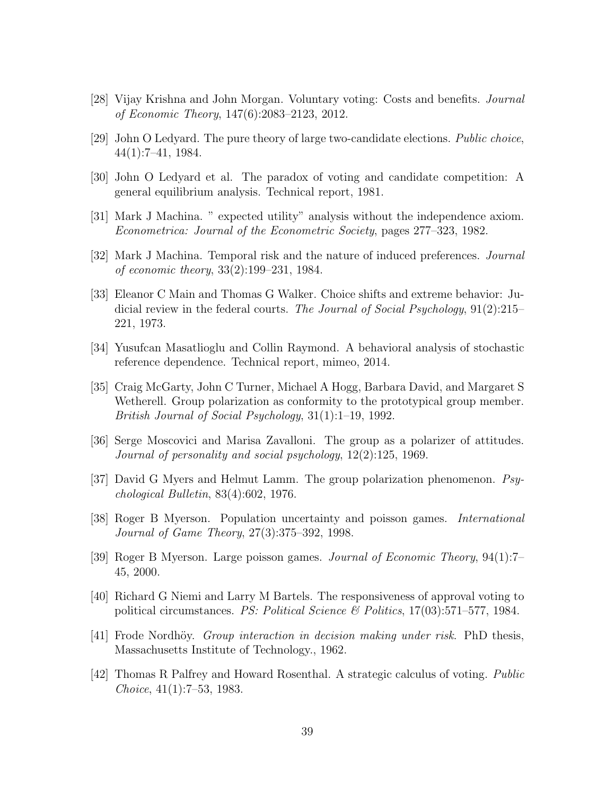- [28] Vijay Krishna and John Morgan. Voluntary voting: Costs and benefits. Journal of Economic Theory, 147(6):2083–2123, 2012.
- [29] John O Ledyard. The pure theory of large two-candidate elections. Public choice, 44(1):7–41, 1984.
- [30] John O Ledyard et al. The paradox of voting and candidate competition: A general equilibrium analysis. Technical report, 1981.
- [31] Mark J Machina. " expected utility" analysis without the independence axiom. Econometrica: Journal of the Econometric Society, pages 277–323, 1982.
- [32] Mark J Machina. Temporal risk and the nature of induced preferences. Journal of economic theory, 33(2):199–231, 1984.
- [33] Eleanor C Main and Thomas G Walker. Choice shifts and extreme behavior: Judicial review in the federal courts. The Journal of Social Psychology,  $91(2):215-$ 221, 1973.
- [34] Yusufcan Masatlioglu and Collin Raymond. A behavioral analysis of stochastic reference dependence. Technical report, mimeo, 2014.
- [35] Craig McGarty, John C Turner, Michael A Hogg, Barbara David, and Margaret S Wetherell. Group polarization as conformity to the prototypical group member. British Journal of Social Psychology, 31(1):1–19, 1992.
- [36] Serge Moscovici and Marisa Zavalloni. The group as a polarizer of attitudes. Journal of personality and social psychology, 12(2):125, 1969.
- [37] David G Myers and Helmut Lamm. The group polarization phenomenon. Psychological Bulletin, 83(4):602, 1976.
- [38] Roger B Myerson. Population uncertainty and poisson games. International Journal of Game Theory, 27(3):375–392, 1998.
- [39] Roger B Myerson. Large poisson games. Journal of Economic Theory, 94(1):7– 45, 2000.
- [40] Richard G Niemi and Larry M Bartels. The responsiveness of approval voting to political circumstances. PS: Political Science & Politics, 17(03):571–577, 1984.
- [41] Frode Nordhöy. *Group interaction in decision making under risk*. PhD thesis, Massachusetts Institute of Technology., 1962.
- [42] Thomas R Palfrey and Howard Rosenthal. A strategic calculus of voting. Public Choice, 41(1):7–53, 1983.